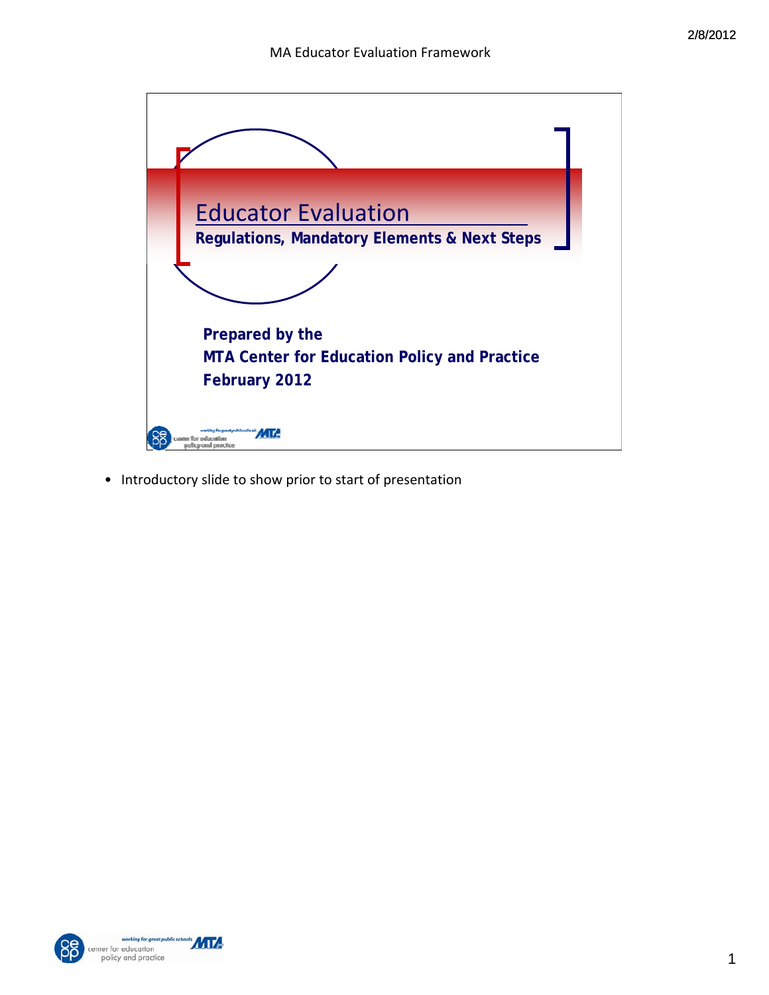

• Introductory slide to show prior to start of presentation



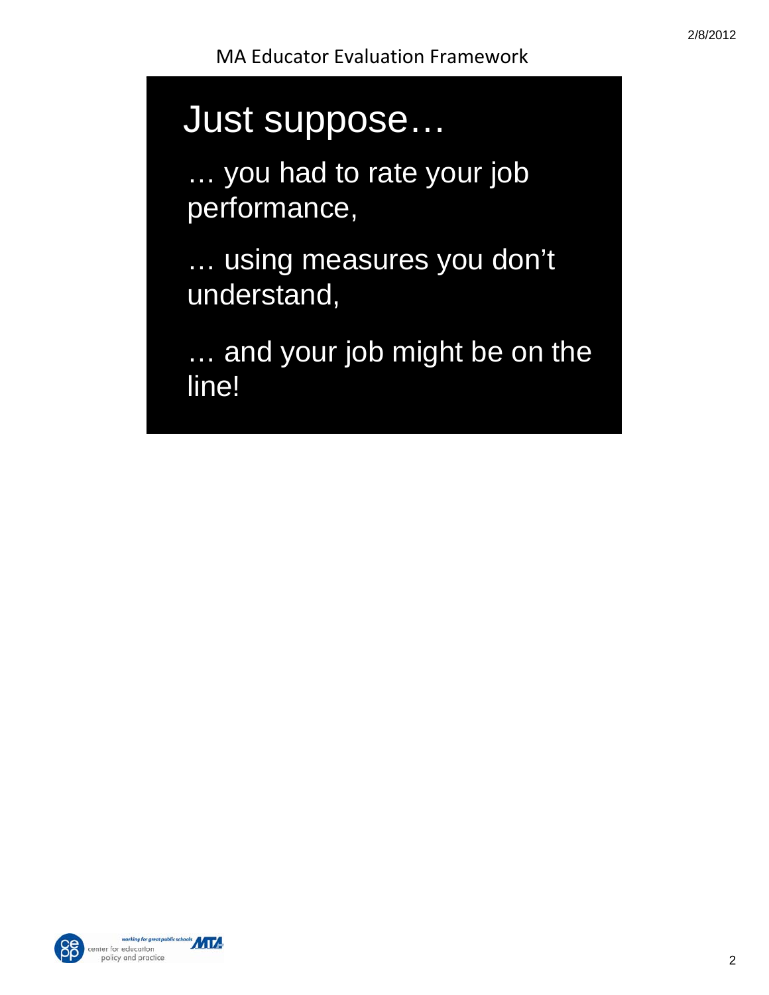# Just suppose…

… you had to rate your job performance,

… using measures you don't understand,

… and your job might be on the line!



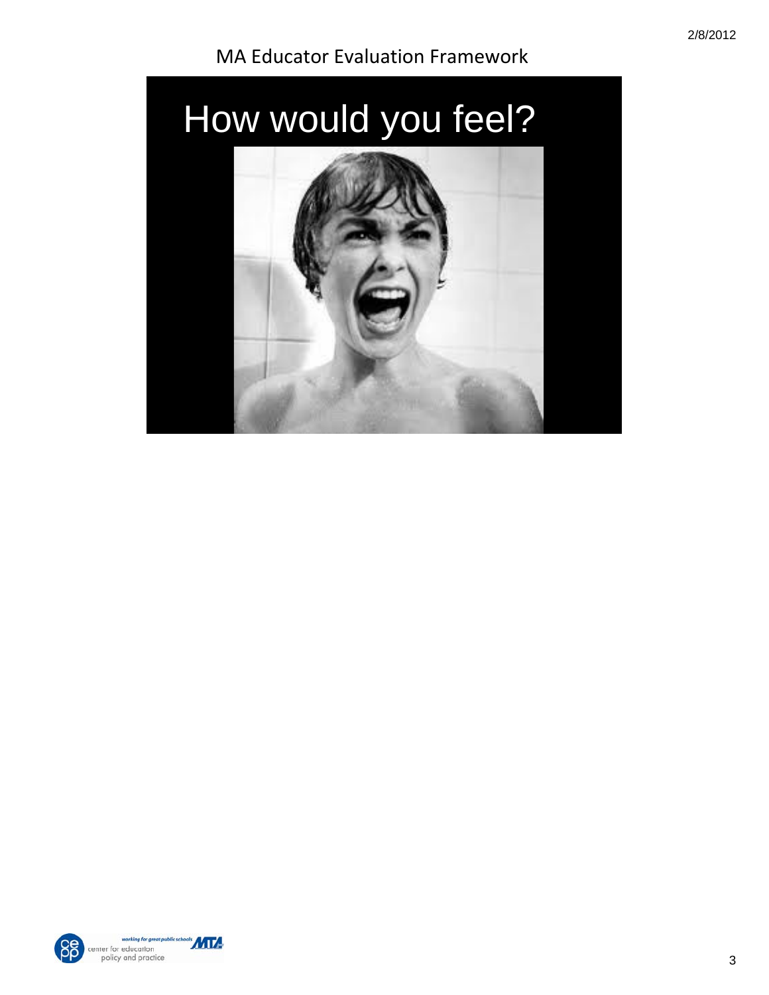



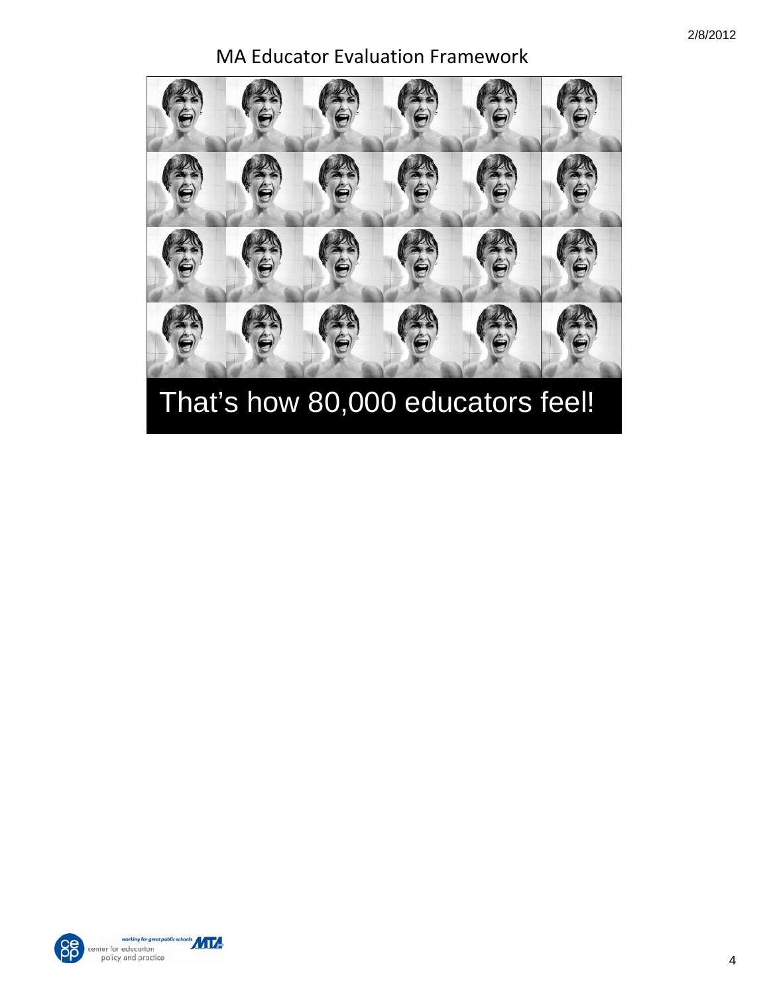



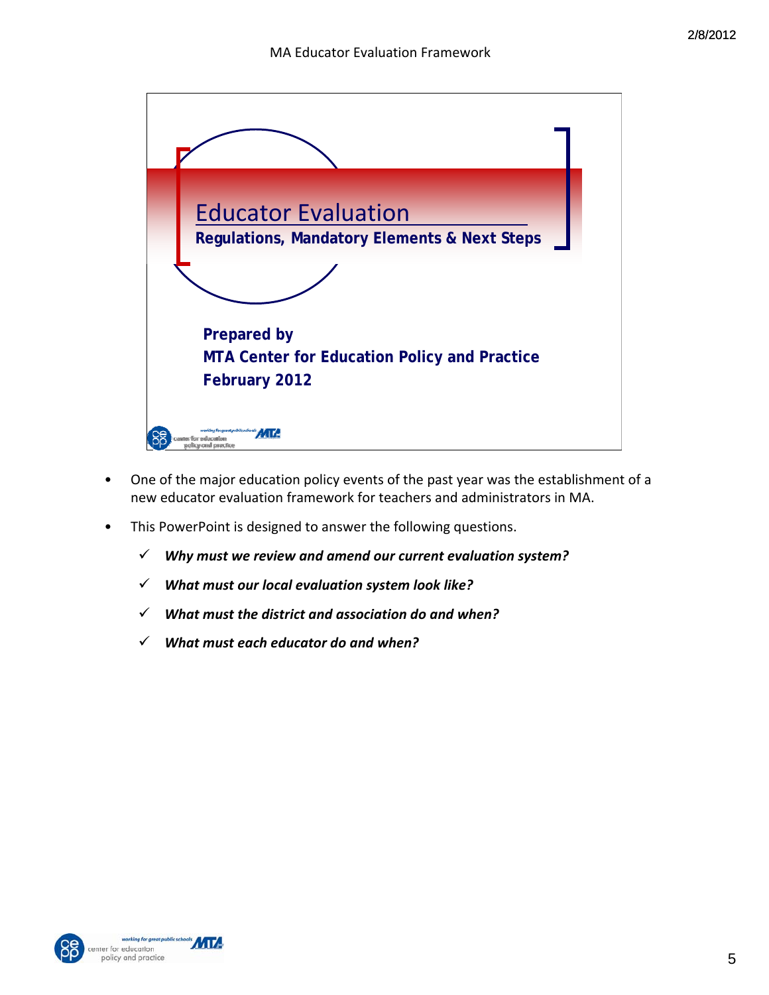

- One of the major education policy events of the past year was the establishment of a new educator evaluation framework for teachers and administrators in MA.
- This PowerPoint is designed to answer the following questions.
	- 9 *Why must we review and amend our current evaluation system?*
	- 9 *What must our local evaluation system look like?*
	- 9 *What must the district and association do and when?*
	- 9 *What must each educator do and when?*



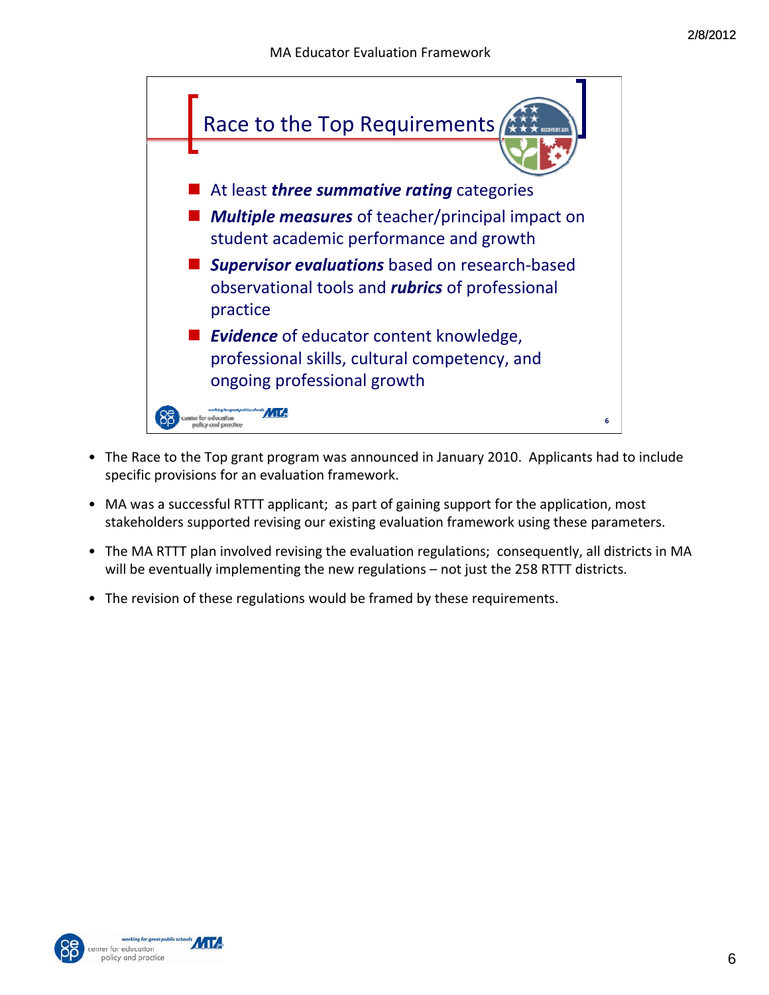

- The Race to the Top grant program was announced in January 2010. Applicants had to include specific provisions for an evaluation framework.
- MA was a successful RTTT applicant; as part of gaining support for the application, most stakeholders supported revising our existing evaluation framework using these parameters.
- The MA RTTT plan involved revising the evaluation regulations; consequently, all districts in MA will be eventually implementing the new regulations - not just the 258 RTTT districts.
- The revision of these regulations would be framed by these requirements.



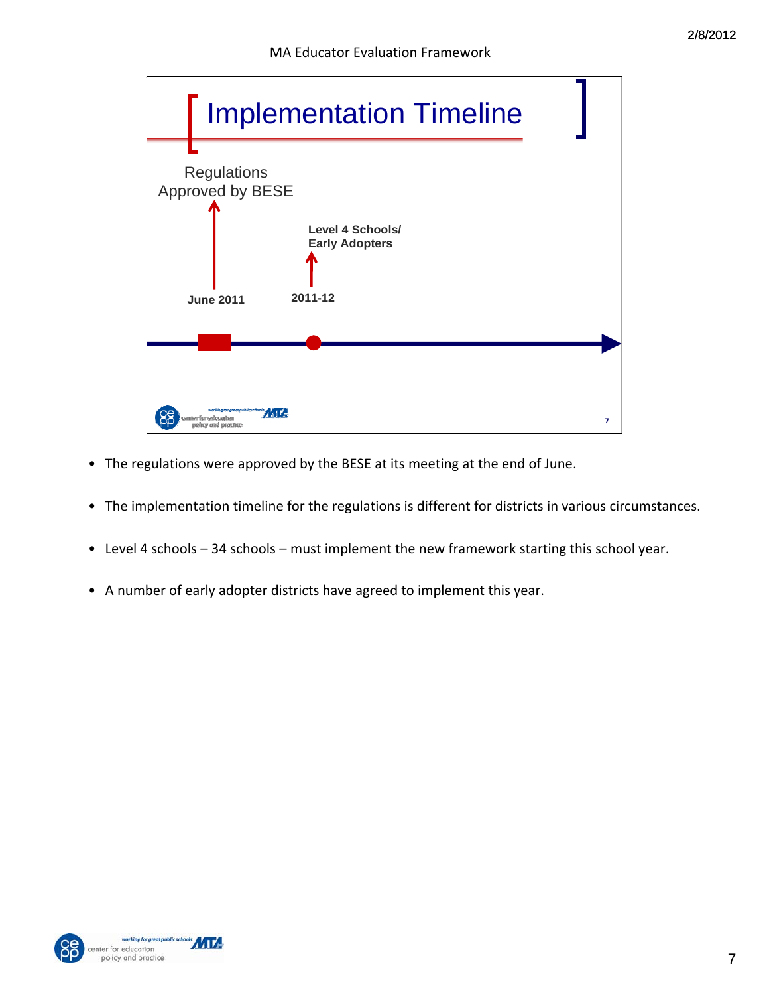

- The regulations were approved by the BESE at its meeting at the end of June.
- The implementation timeline for the regulations is different for districts in various circumstances.
- Level 4 schools 34 schools must implement the new framework starting this school year.
- A number of early adopter districts have agreed to implement this year.



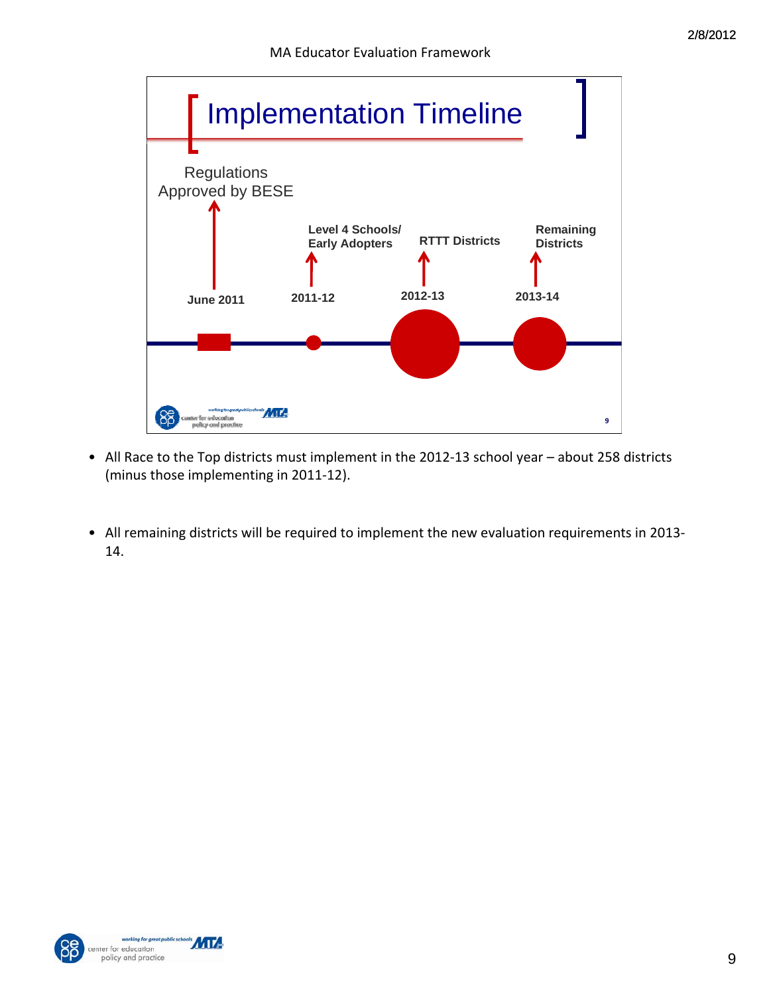

- All Race to the Top districts must implement in the 2012‐13 school year about 258 districts (minus those implementing in 2011‐12).
- All remaining districts will be required to implement the new evaluation requirements in 2013‐ 14.



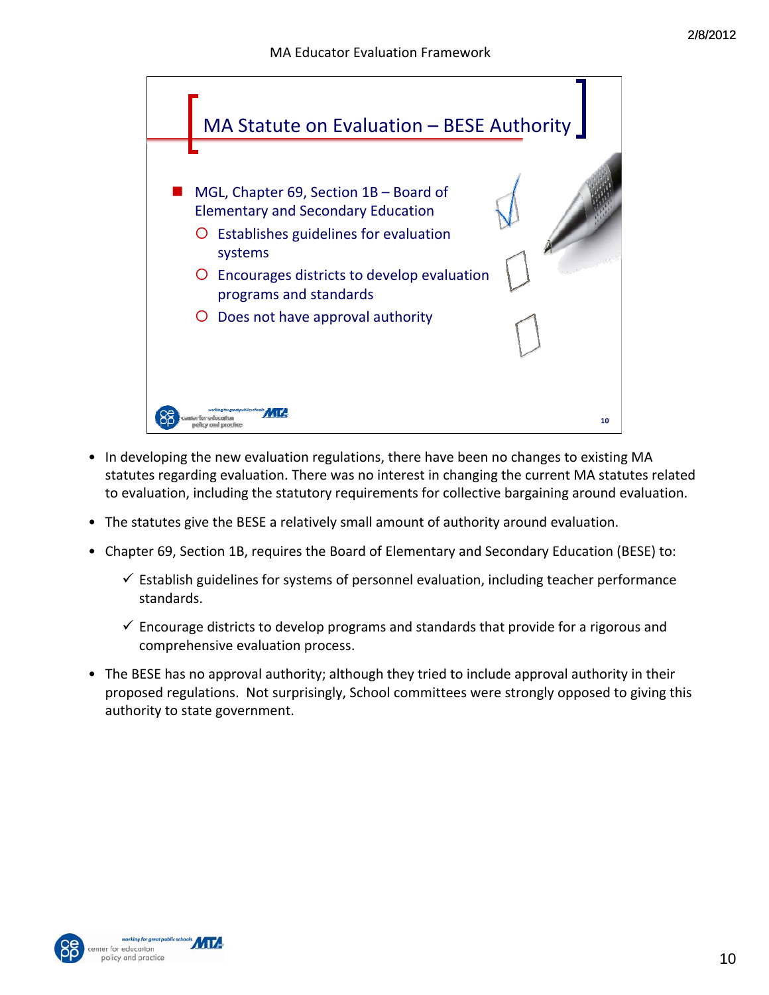

- In developing the new evaluation regulations, there have been no changes to existing MA statutes regarding evaluation. There was no interest in changing the current MA statutes related to evaluation, including the statutory requirements for collective bargaining around evaluation.
- The statutes give the BESE a relatively small amount of authority around evaluation.
- Chapter 69, Section 1B, requires the Board of Elementary and Secondary Education (BESE) to:
	- $\checkmark$  Establish guidelines for systems of personnel evaluation, including teacher performance standards.
	- $\checkmark$  Encourage districts to develop programs and standards that provide for a rigorous and comprehensive evaluation process.
- The BESE has no approval authority; although they tried to include approval authority in their proposed regulations. Not surprisingly, School committees were strongly opposed to giving this authority to state government.



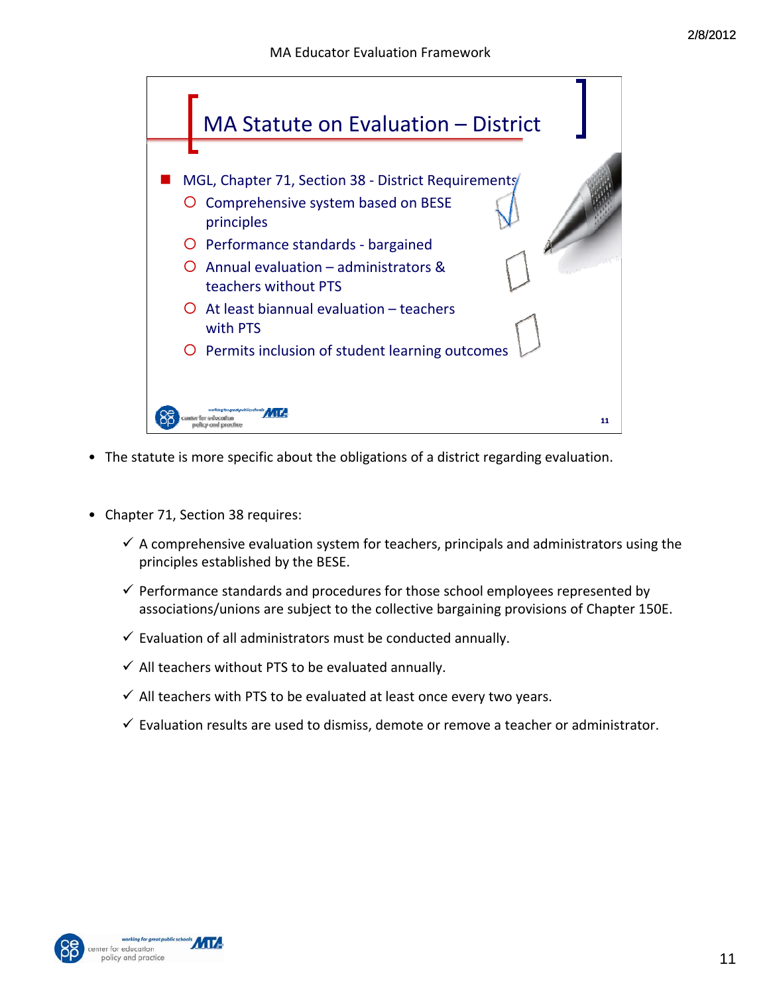

- The statute is more specific about the obligations of a district regarding evaluation.
- Chapter 71, Section 38 requires:
	- $\checkmark$  A comprehensive evaluation system for teachers, principals and administrators using the principles established by the BESE.
	- $\checkmark$  Performance standards and procedures for those school employees represented by associations/unions are subject to the collective bargaining provisions of Chapter 150E.
	- $\checkmark$  Evaluation of all administrators must be conducted annually.
	- $\checkmark$  All teachers without PTS to be evaluated annually.
	- $\checkmark$  All teachers with PTS to be evaluated at least once every two years.
	- $\checkmark$  Evaluation results are used to dismiss, demote or remove a teacher or administrator.



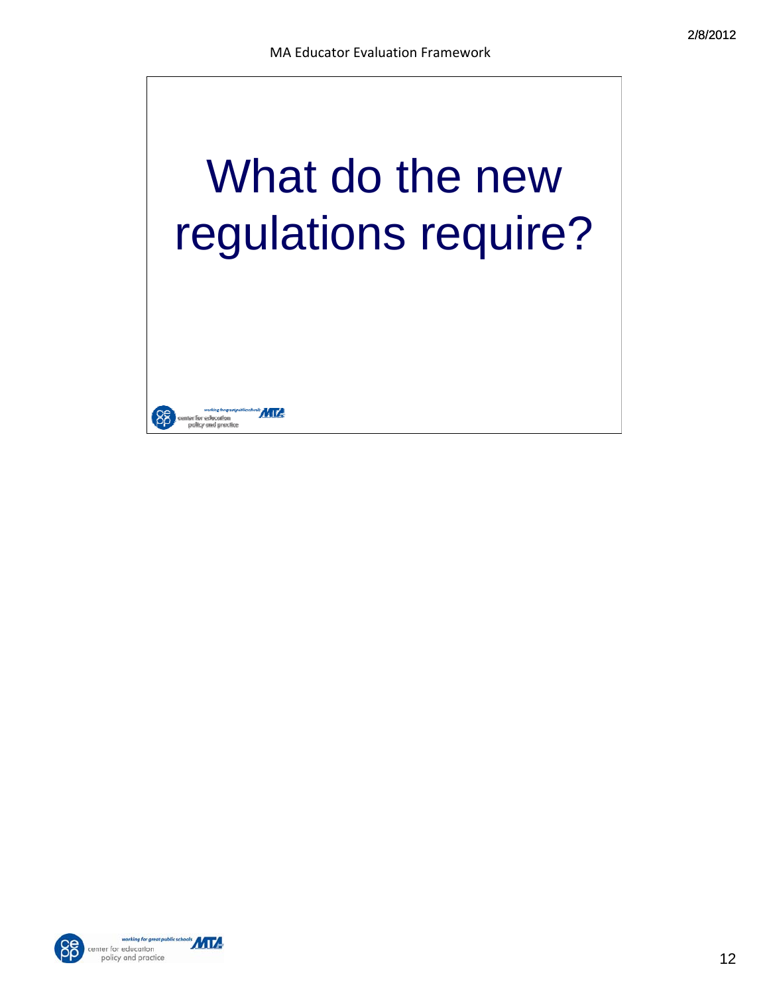





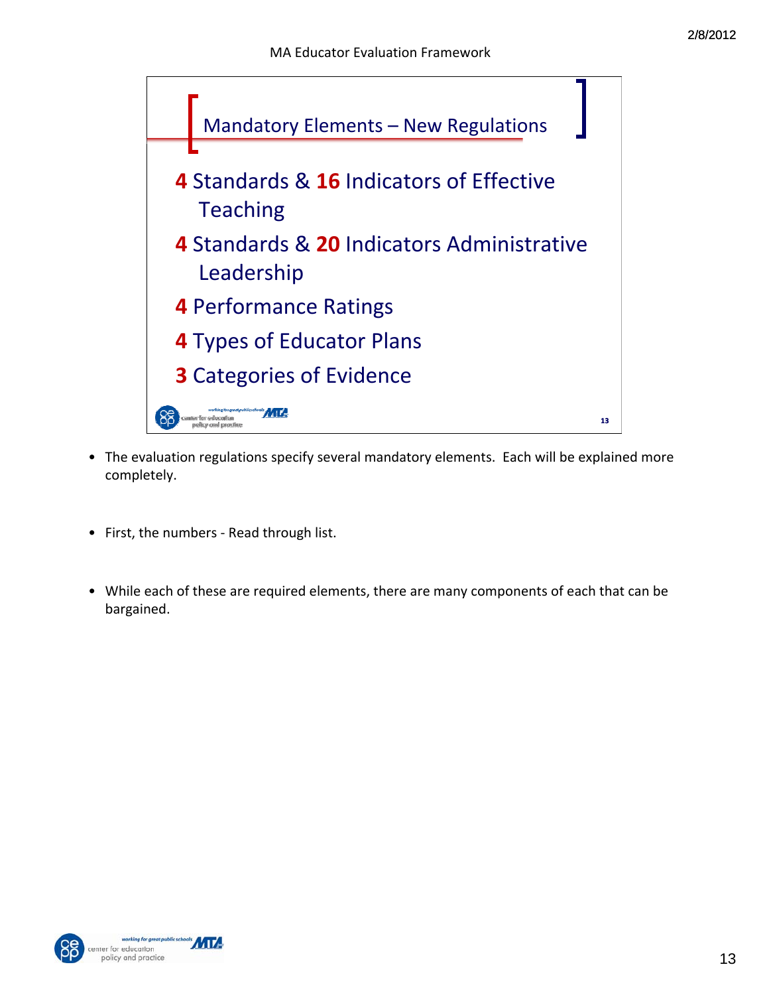

- The evaluation regulations specify several mandatory elements. Each will be explained more completely.
- First, the numbers ‐ Read through list.
- While each of these are required elements, there are many components of each that can be bargained.



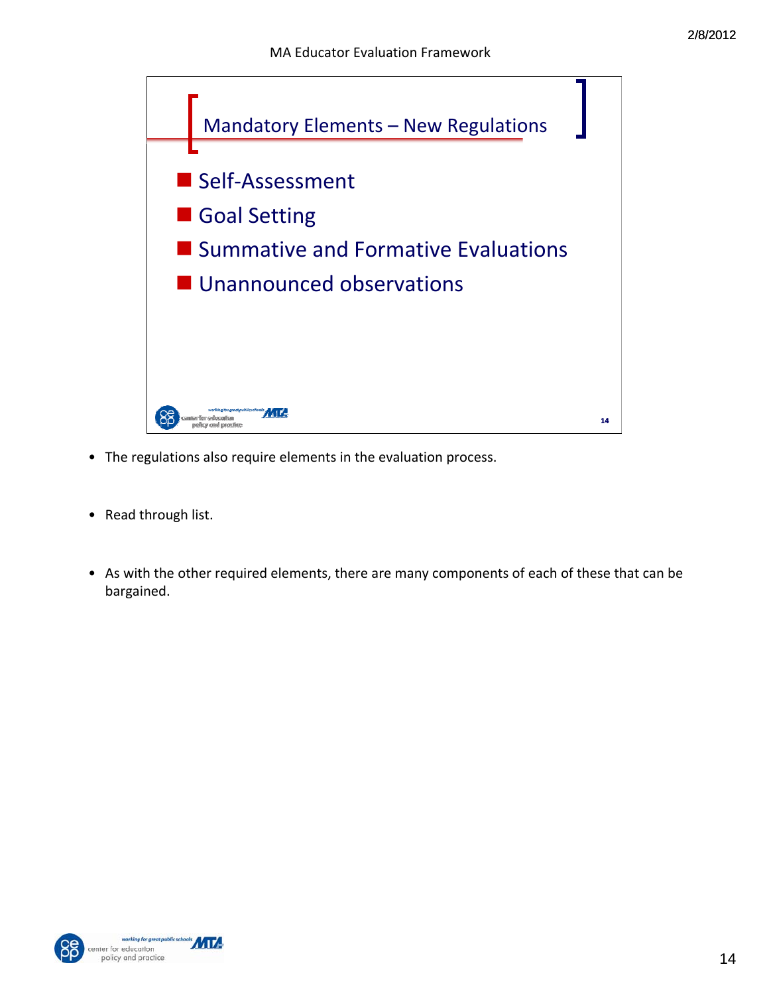

- The regulations also require elements in the evaluation process.
- Read through list.
- As with the other required elements, there are many components of each of these that can be bargained.



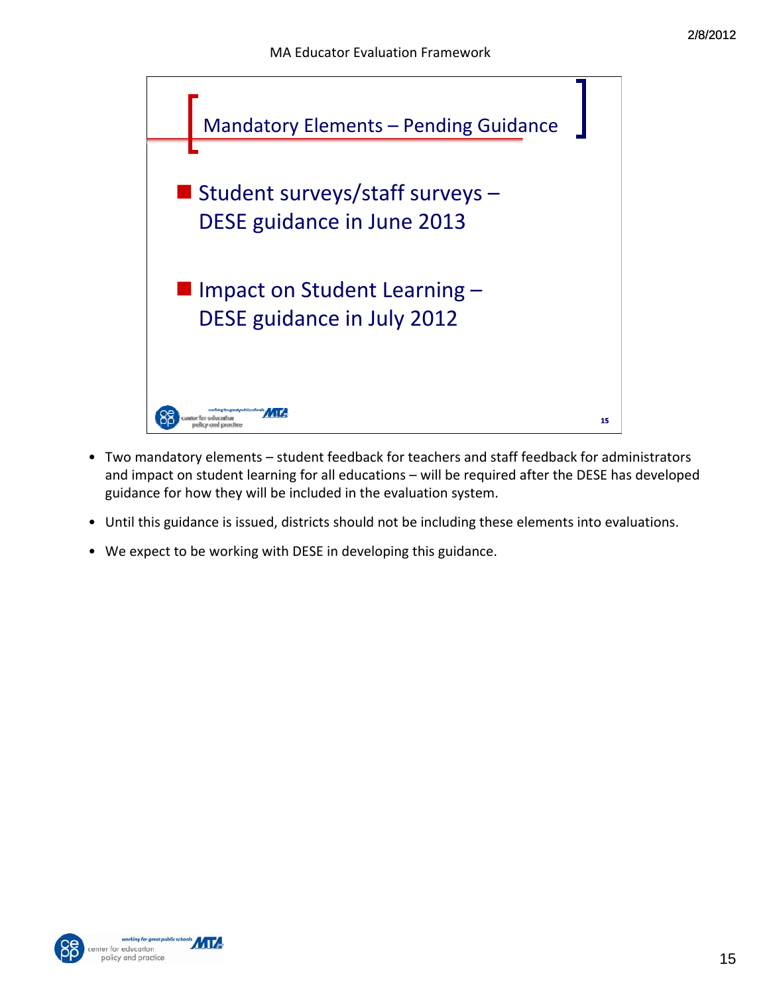

- Two mandatory elements student feedback for teachers and staff feedback for administrators and impact on student learning for all educations – will be required after the DESE has developed guidance for how they will be included in the evaluation system.
- Until this guidance is issued, districts should not be including these elements into evaluations.
- We expect to be working with DESE in developing this guidance.



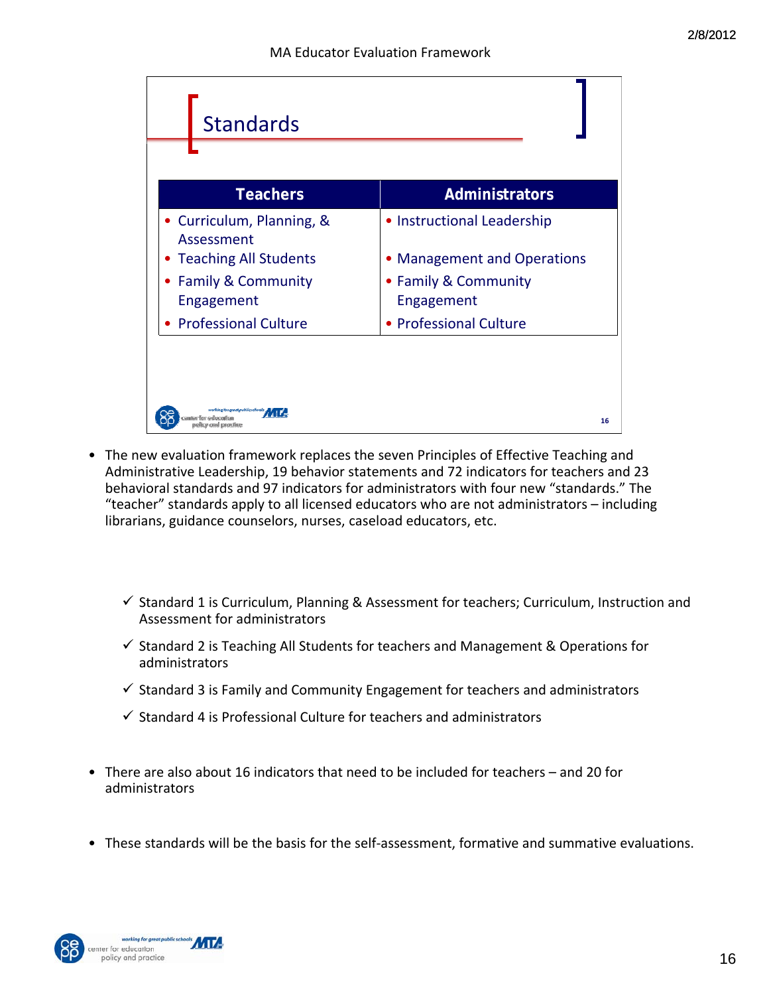| <b>Standards</b>                                         |                                    |
|----------------------------------------------------------|------------------------------------|
| <b>Teachers</b>                                          | <b>Administrators</b>              |
| • Curriculum, Planning, &<br>Assessment                  | • Instructional Leadership         |
| <b>Teaching All Students</b><br>٠                        | • Management and Operations        |
| <b>Family &amp; Community</b><br>$\bullet$<br>Engagement | • Family & Community<br>Engagement |
| <b>Professional Culture</b>                              | • Professional Culture             |
|                                                          |                                    |
| vorking foogseat publics chools:<br>e crud ronactiroe    | 16                                 |

- The new evaluation framework replaces the seven Principles of Effective Teaching and Administrative Leadership, 19 behavior statements and 72 indicators for teachers and 23 behavioral standards and 97 indicators for administrators with four new "standards." The "teacher" standards apply to all licensed educators who are not administrators – including librarians, guidance counselors, nurses, caseload educators, etc.
	- $\checkmark$  Standard 1 is Curriculum, Planning & Assessment for teachers; Curriculum, Instruction and Assessment for administrators
	- $\checkmark$  Standard 2 is Teaching All Students for teachers and Management & Operations for administrators
	- $\checkmark$  Standard 3 is Family and Community Engagement for teachers and administrators
	- $\checkmark$  Standard 4 is Professional Culture for teachers and administrators
- There are also about 16 indicators that need to be included for teachers and 20 for administrators
- These standards will be the basis for the self‐assessment, formative and summative evaluations.

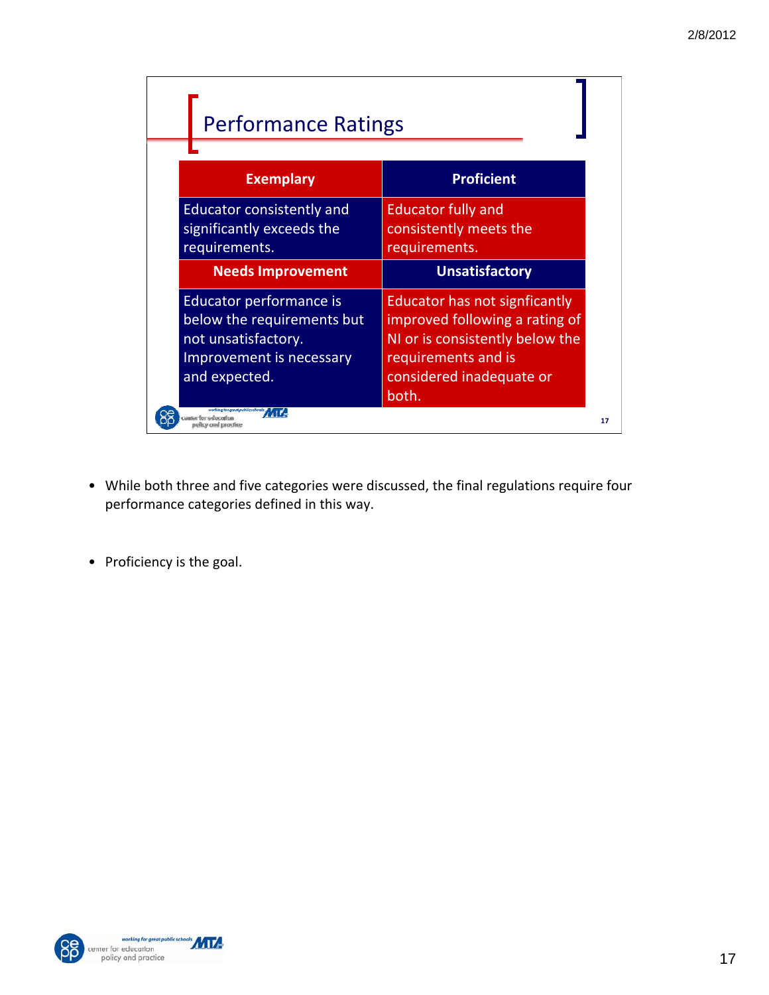| <b>Performance Ratings</b>                                                                                                |                                                                                                                                                                |    |
|---------------------------------------------------------------------------------------------------------------------------|----------------------------------------------------------------------------------------------------------------------------------------------------------------|----|
| <b>Exemplary</b>                                                                                                          | <b>Proficient</b>                                                                                                                                              |    |
| <b>Educator consistently and</b><br>significantly exceeds the<br>requirements.                                            | <b>Educator fully and</b><br>consistently meets the<br>requirements.                                                                                           |    |
| <b>Needs Improvement</b>                                                                                                  | <b>Unsatisfactory</b>                                                                                                                                          |    |
| Educator performance is<br>below the requirements but<br>not unsatisfactory.<br>Improvement is necessary<br>and expected. | Educator has not signficantly<br>improved following a rating of<br>NI or is consistently below the<br>requirements and is<br>considered inadequate or<br>both. |    |
|                                                                                                                           |                                                                                                                                                                | 17 |

- While both three and five categories were discussed, the final regulations require four performance categories defined in this way.
- Proficiency is the goal.



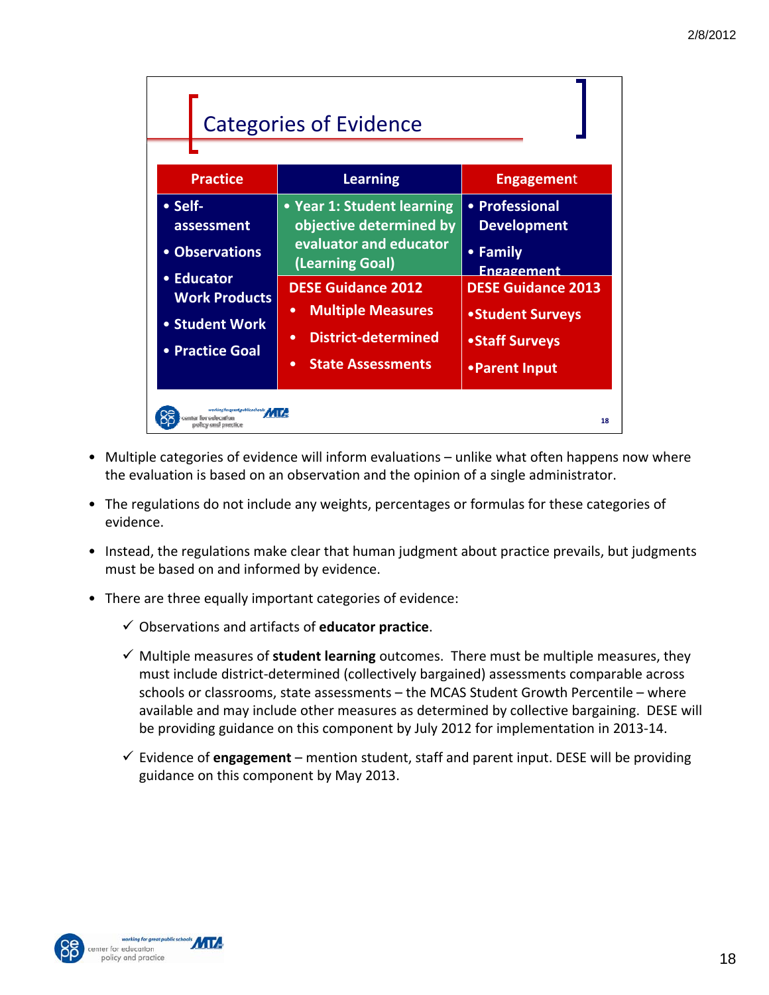|         |                                                                                                         | <b>Categories of Evidence</b>                                                                                                                                                                                                                         |                                                                                                                                                                   |
|---------|---------------------------------------------------------------------------------------------------------|-------------------------------------------------------------------------------------------------------------------------------------------------------------------------------------------------------------------------------------------------------|-------------------------------------------------------------------------------------------------------------------------------------------------------------------|
|         | <b>Practice</b>                                                                                         | <b>Learning</b>                                                                                                                                                                                                                                       | <b>Engagement</b>                                                                                                                                                 |
| • Self- | assessment<br>• Observations<br>• Educator<br><b>Work Products</b><br>• Student Work<br>• Practice Goal | • Year 1: Student learning<br>objective determined by<br>evaluator and educator<br>(Learning Goal)<br><b>DESE Guidance 2012</b><br><b>Multiple Measures</b><br>$\bullet$<br>District-determined<br>$\bullet$<br><b>State Assessments</b><br>$\bullet$ | • Professional<br><b>Development</b><br>• Family<br><b>Engagement</b><br><b>DESE Guidance 2013</b><br>• Student Surveys<br><b>•Staff Surveys</b><br>•Parent Input |
|         | gestpoblicscheds <b>ATTA</b><br>itar forvaducatio                                                       |                                                                                                                                                                                                                                                       | 18                                                                                                                                                                |

- Multiple categories of evidence will inform evaluations unlike what often happens now where the evaluation is based on an observation and the opinion of a single administrator.
- The regulations do not include any weights, percentages or formulas for these categories of evidence.
- Instead, the regulations make clear that human judgment about practice prevails, but judgments must be based on and informed by evidence.
- There are three equally important categories of evidence:
	- 9 Observations and artifacts of **educator practice**.
	- $\checkmark$  Multiple measures of **student learning** outcomes. There must be multiple measures, they must include district‐determined (collectively bargained) assessments comparable across schools or classrooms, state assessments – the MCAS Student Growth Percentile – where available and may include other measures as determined by collective bargaining. DESE will be providing guidance on this component by July 2012 for implementation in 2013‐14.
	- $\checkmark$  Evidence of **engagement** mention student, staff and parent input. DESE will be providing guidance on this component by May 2013.



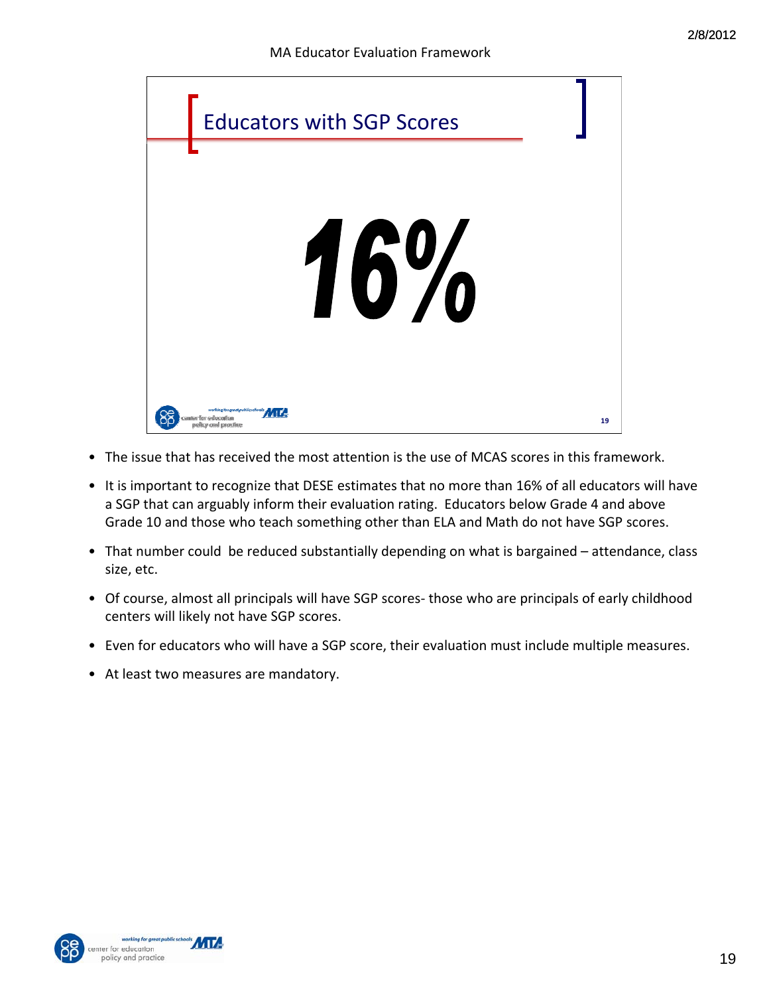

- The issue that has received the most attention is the use of MCAS scores in this framework.
- It is important to recognize that DESE estimates that no more than 16% of all educators will have a SGP that can arguably inform their evaluation rating. Educators below Grade 4 and above Grade 10 and those who teach something other than ELA and Math do not have SGP scores.
- That number could be reduced substantially depending on what is bargained attendance, class size, etc.
- Of course, almost all principals will have SGP scores-those who are principals of early childhood centers will likely not have SGP scores.
- Even for educators who will have a SGP score, their evaluation must include multiple measures.
- At least two measures are mandatory.



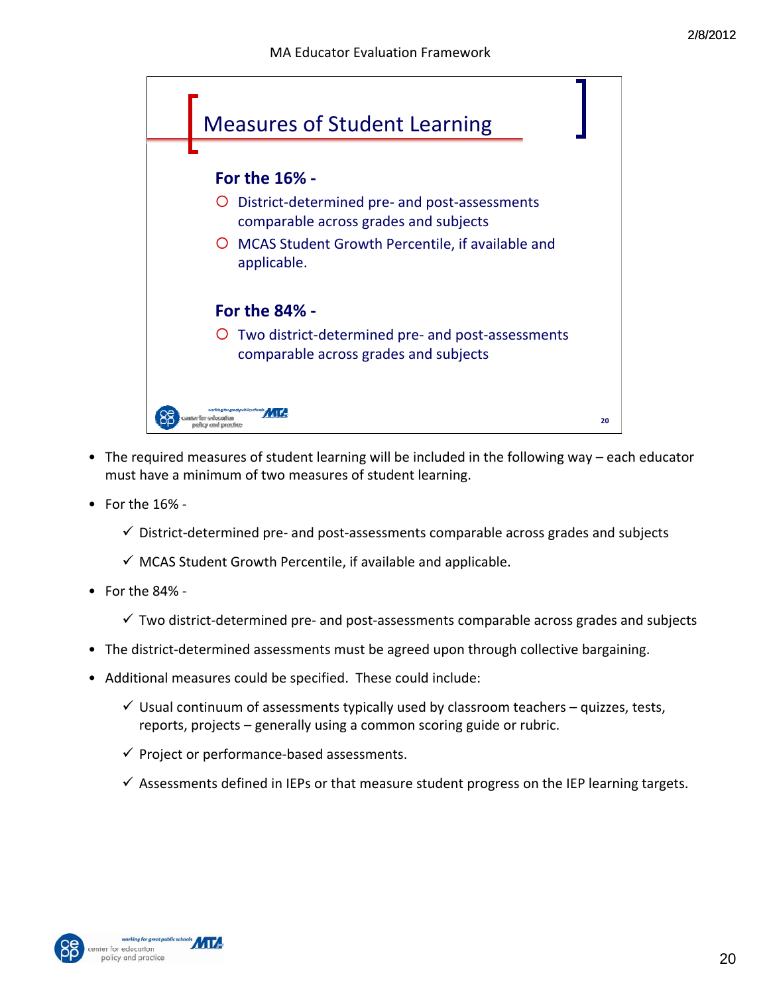

- The required measures of student learning will be included in the following way each educator must have a minimum of two measures of student learning.
- For the 16% ‐
	- $\checkmark$  District-determined pre- and post-assessments comparable across grades and subjects
	- $\checkmark$  MCAS Student Growth Percentile, if available and applicable.
- For the 84% ‐
	- $\checkmark$  Two district-determined pre- and post-assessments comparable across grades and subjects
- The district-determined assessments must be agreed upon through collective bargaining.
- Additional measures could be specified. These could include:
	- $\checkmark$  Usual continuum of assessments typically used by classroom teachers quizzes, tests, reports, projects – generally using a common scoring guide or rubric.
	- $\checkmark$  Project or performance-based assessments.
	- $\checkmark$  Assessments defined in IEPs or that measure student progress on the IEP learning targets.

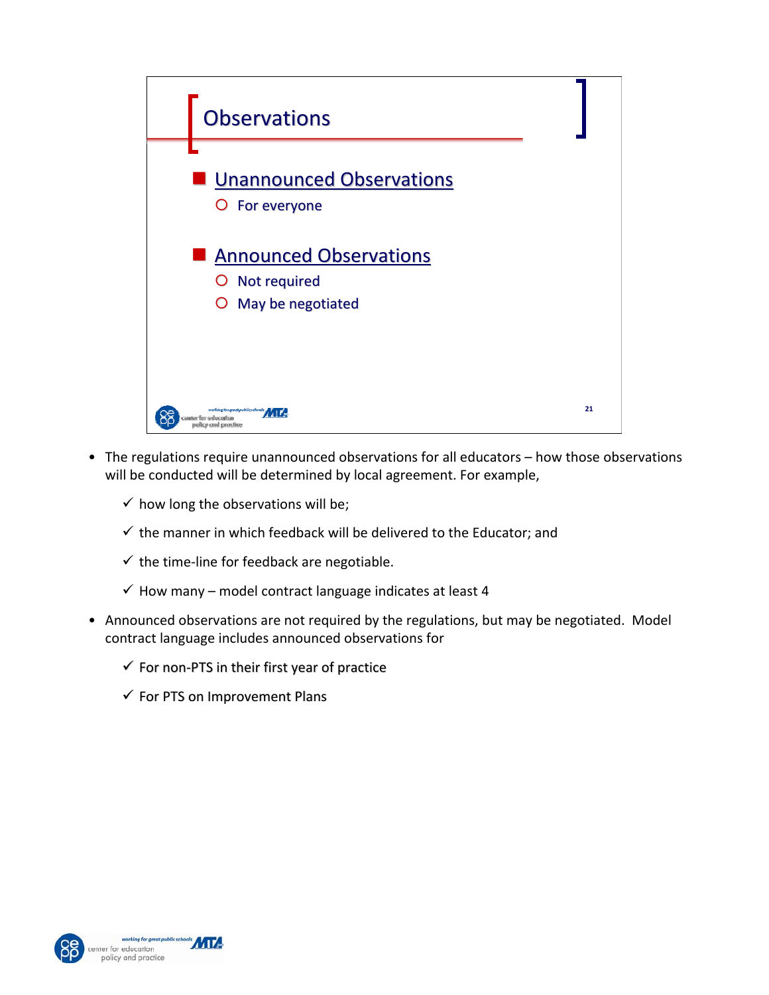

- The regulations require unannounced observations for all educators how those observations will be conducted will be determined by local agreement. For example,
	- $\checkmark$  how long the observations will be;
	- $\checkmark$  the manner in which feedback will be delivered to the Educator; and
	- $\checkmark$  the time-line for feedback are negotiable.
	- $\checkmark$  How many model contract language indicates at least 4
- Announced observations are not required by the regulations, but may be negotiated. Model contract language includes announced observations for
	- $\checkmark$  For non-PTS in their first year of practice
	- $\checkmark$  For PTS on Improvement Plans



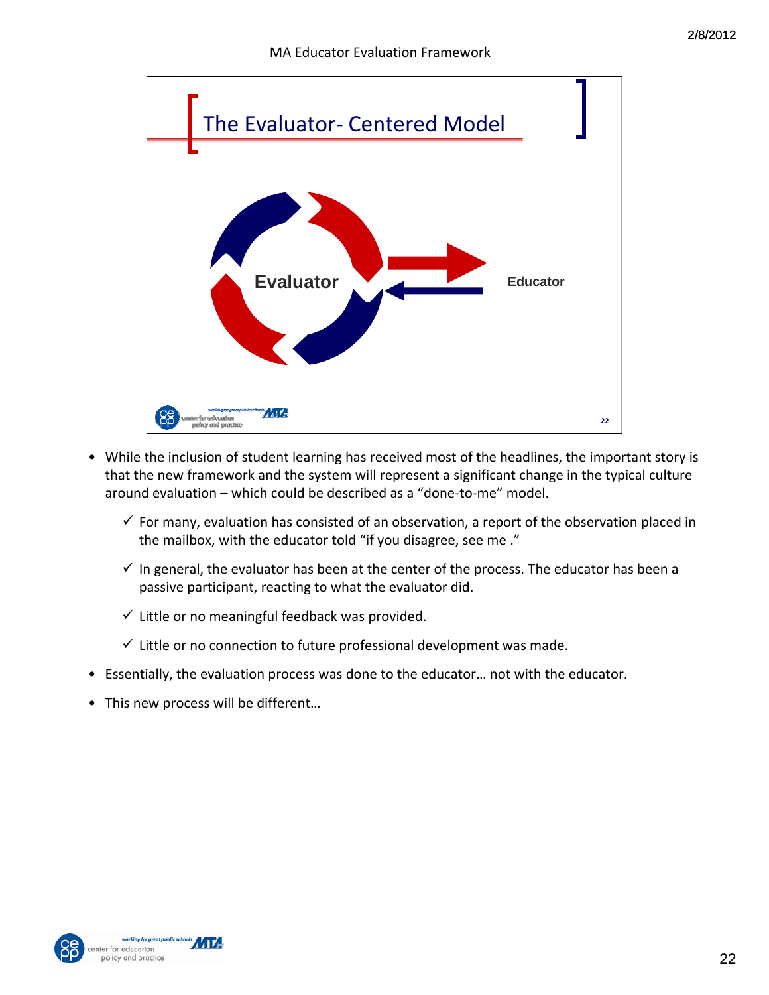

- While the inclusion of student learning has received most of the headlines, the important story is that the new framework and the system will represent a significant change in the typical culture around evaluation – which could be described as a "done‐to‐me" model.
	- $\checkmark$  For many, evaluation has consisted of an observation, a report of the observation placed in the mailbox, with the educator told "if you disagree, see me ."
	- $\checkmark$  In general, the evaluator has been at the center of the process. The educator has been a passive participant, reacting to what the evaluator did.
	- $\checkmark$  Little or no meaningful feedback was provided.
	- $\checkmark$  Little or no connection to future professional development was made.
- Essentially, the evaluation process was done to the educator… not with the educator.
- This new process will be different…



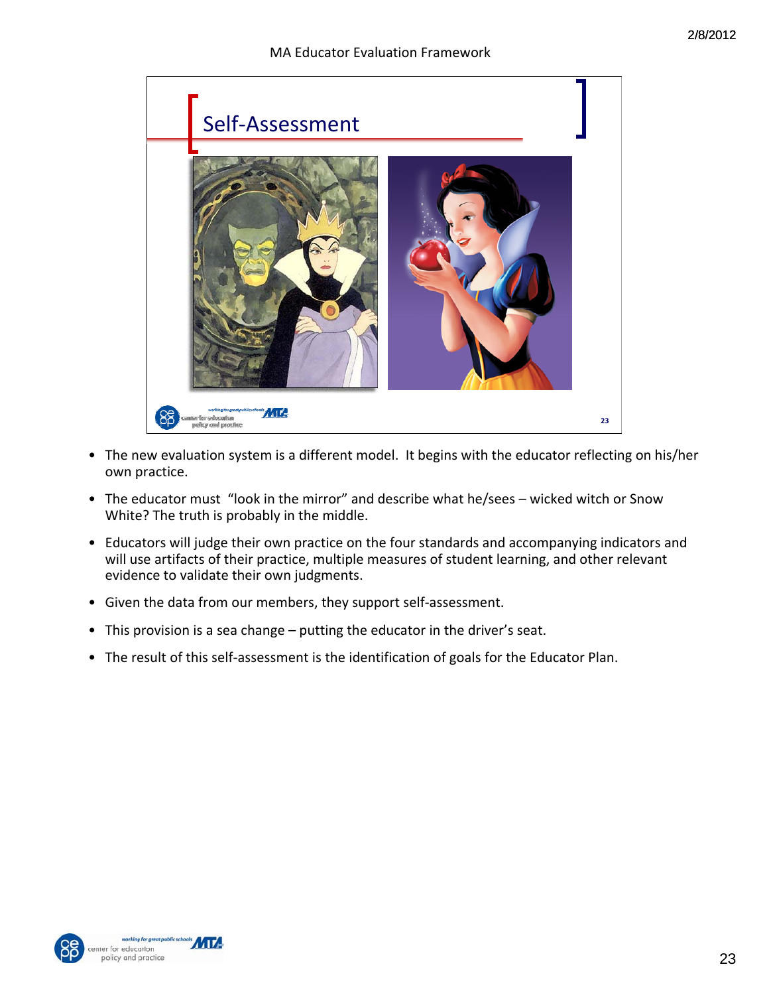

- The new evaluation system is a different model. It begins with the educator reflecting on his/her own practice.
- The educator must "look in the mirror" and describe what he/sees wicked witch or Snow White? The truth is probably in the middle.
- Educators will judge their own practice on the four standards and accompanying indicators and will use artifacts of their practice, multiple measures of student learning, and other relevant evidence to validate their own judgments.
- Given the data from our members, they support self‐assessment.
- This provision is a sea change putting the educator in the driver's seat.
- The result of this self-assessment is the identification of goals for the Educator Plan.



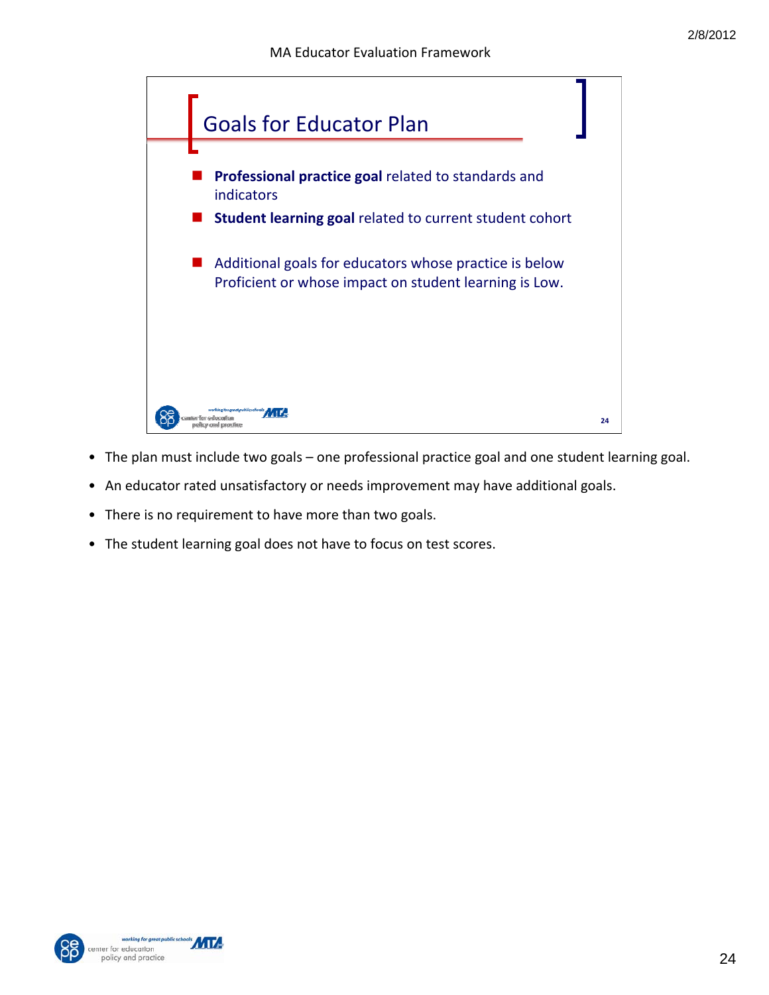

- The plan must include two goals one professional practice goal and one student learning goal.
- An educator rated unsatisfactory or needs improvement may have additional goals.
- There is no requirement to have more than two goals.
- The student learning goal does not have to focus on test scores.



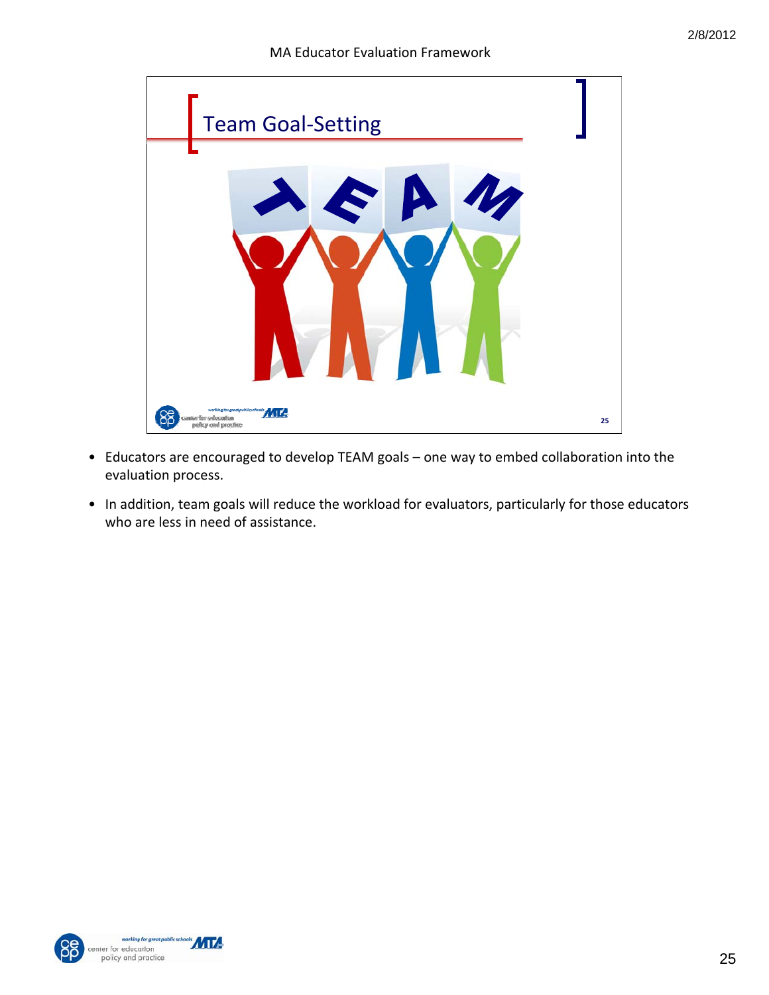

- Educators are encouraged to develop TEAM goals one way to embed collaboration into the evaluation process.
- In addition, team goals will reduce the workload for evaluators, particularly for those educators who are less in need of assistance.



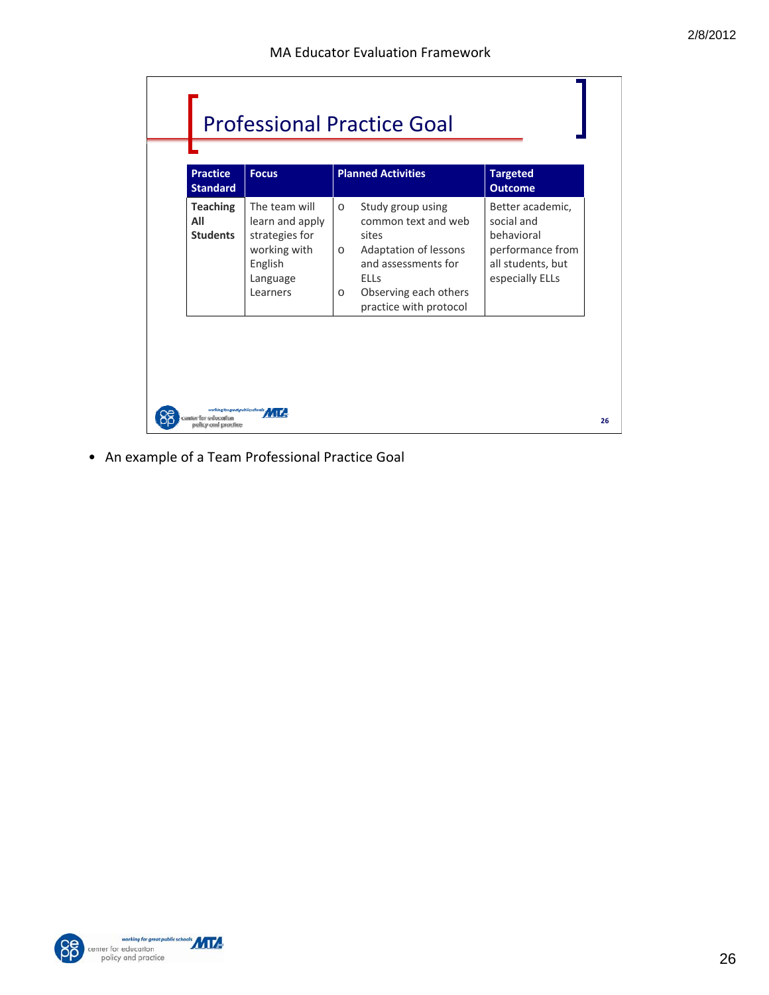|                                           | <b>Professional Practice Goal</b>                                                                     |                                                                                                                                                                                                      |                                                                                                          |  |  |
|-------------------------------------------|-------------------------------------------------------------------------------------------------------|------------------------------------------------------------------------------------------------------------------------------------------------------------------------------------------------------|----------------------------------------------------------------------------------------------------------|--|--|
| <b>Practice</b><br><b>Standard</b>        | <b>Focus</b>                                                                                          | <b>Planned Activities</b>                                                                                                                                                                            | <b>Targeted</b><br><b>Outcome</b>                                                                        |  |  |
| <b>Teaching</b><br>All<br><b>Students</b> | The team will<br>learn and apply<br>strategies for<br>working with<br>English<br>Language<br>Learners | Study group using<br>$\circ$<br>common text and web<br>sites<br>Adaptation of lessons<br>$\circ$<br>and assessments for<br><b>ELLs</b><br>Observing each others<br>$\circ$<br>practice with protocol | Better academic,<br>social and<br>behavioral<br>performance from<br>all students, but<br>especially ELLs |  |  |
| nter for education<br>exitor and practice | working for great public schools                                                                      |                                                                                                                                                                                                      |                                                                                                          |  |  |

• An example of a Team Professional Practice Goal

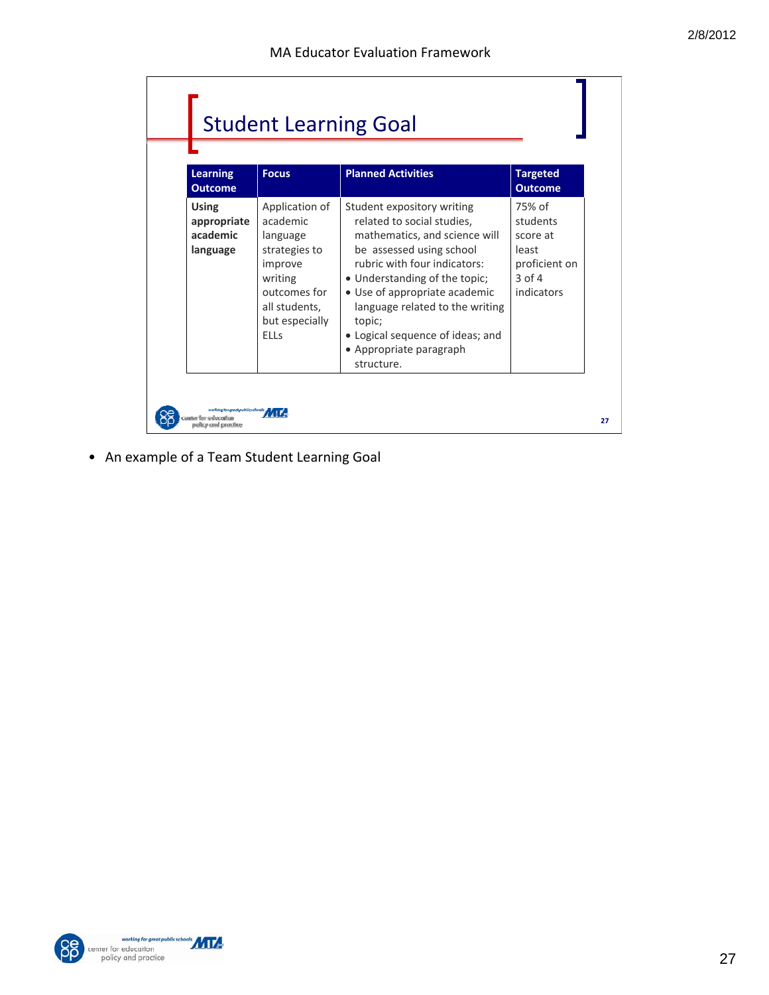|                                                        | <b>Student Learning Goal</b>                                                                                                                    |                                                                                                                                                                                                                                                                                                                                                   |                                                                                      |  |  |
|--------------------------------------------------------|-------------------------------------------------------------------------------------------------------------------------------------------------|---------------------------------------------------------------------------------------------------------------------------------------------------------------------------------------------------------------------------------------------------------------------------------------------------------------------------------------------------|--------------------------------------------------------------------------------------|--|--|
| <b>Learning</b><br><b>Outcome</b>                      | <b>Focus</b>                                                                                                                                    | <b>Planned Activities</b>                                                                                                                                                                                                                                                                                                                         | <b>Targeted</b><br><b>Outcome</b>                                                    |  |  |
| <b>Using</b><br>appropriate<br>academic<br>language    | Application of<br>academic<br>language<br>strategies to<br>improve<br>writing<br>outcomes for<br>all students,<br>but especially<br><b>ELLs</b> | Student expository writing<br>related to social studies,<br>mathematics, and science will<br>be assessed using school<br>rubric with four indicators:<br>• Understanding of the topic;<br>• Use of appropriate academic<br>language related to the writing<br>topic;<br>• Logical sequence of ideas; and<br>• Appropriate paragraph<br>structure. | 75% of<br>students<br>score at<br>least<br>proficient on<br>$3$ of $4$<br>indicators |  |  |
| working foogseat publics chools:<br>elicu and proclice |                                                                                                                                                 |                                                                                                                                                                                                                                                                                                                                                   |                                                                                      |  |  |

• An example of a Team Student Learning Goal



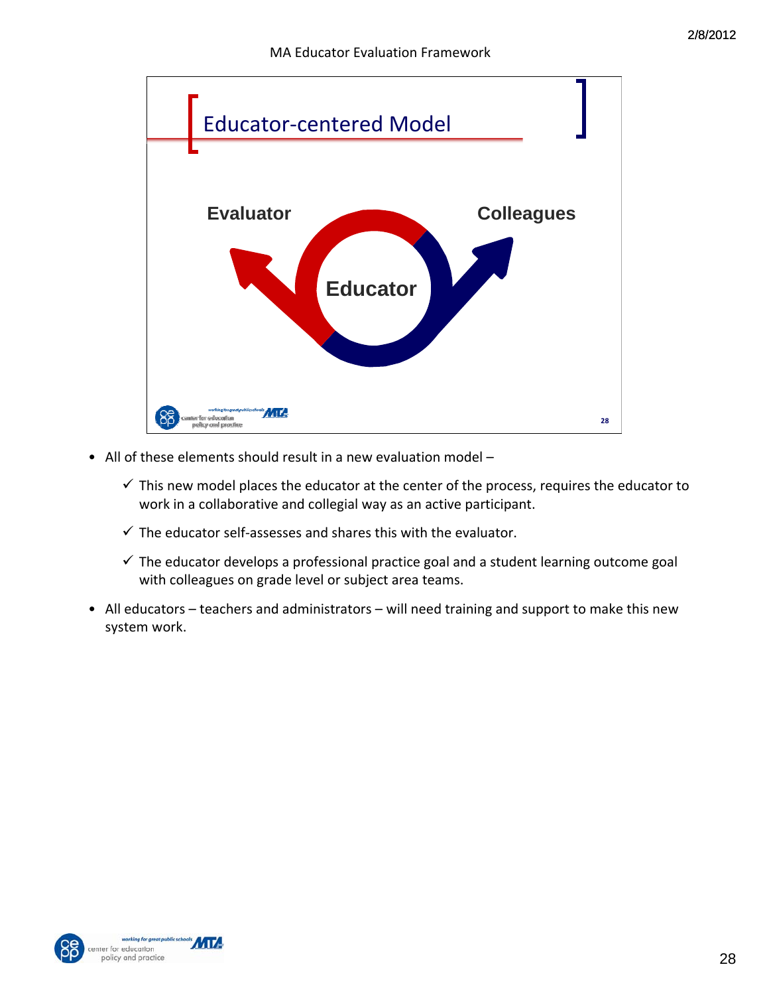

- All of these elements should result in a new evaluation model
	- $\checkmark$  This new model places the educator at the center of the process, requires the educator to work in a collaborative and collegial way as an active participant.
	- $\checkmark$  The educator self-assesses and shares this with the evaluator.
	- $\checkmark$  The educator develops a professional practice goal and a student learning outcome goal with colleagues on grade level or subject area teams.
- All educators teachers and administrators will need training and support to make this new system work.



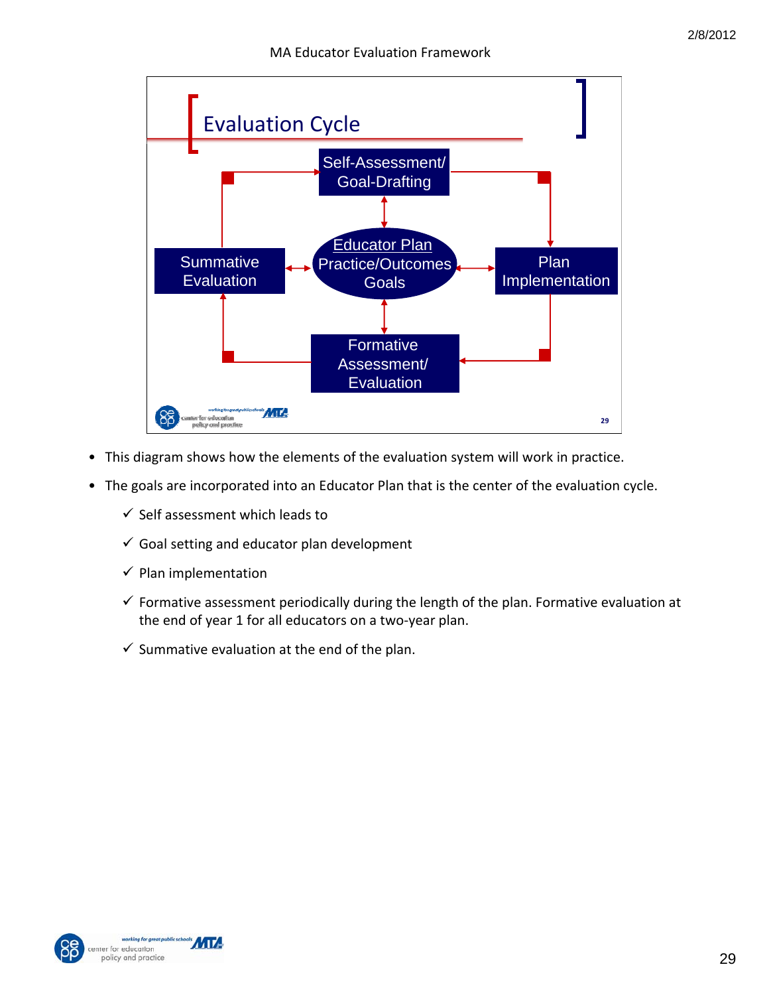

- This diagram shows how the elements of the evaluation system will work in practice.
- The goals are incorporated into an Educator Plan that is the center of the evaluation cycle.
	- $\checkmark$  Self assessment which leads to
	- $\checkmark$  Goal setting and educator plan development
	- $\checkmark$  Plan implementation
	- $\checkmark$  Formative assessment periodically during the length of the plan. Formative evaluation at the end of year 1 for all educators on a two‐year plan.
	- $\checkmark$  Summative evaluation at the end of the plan.



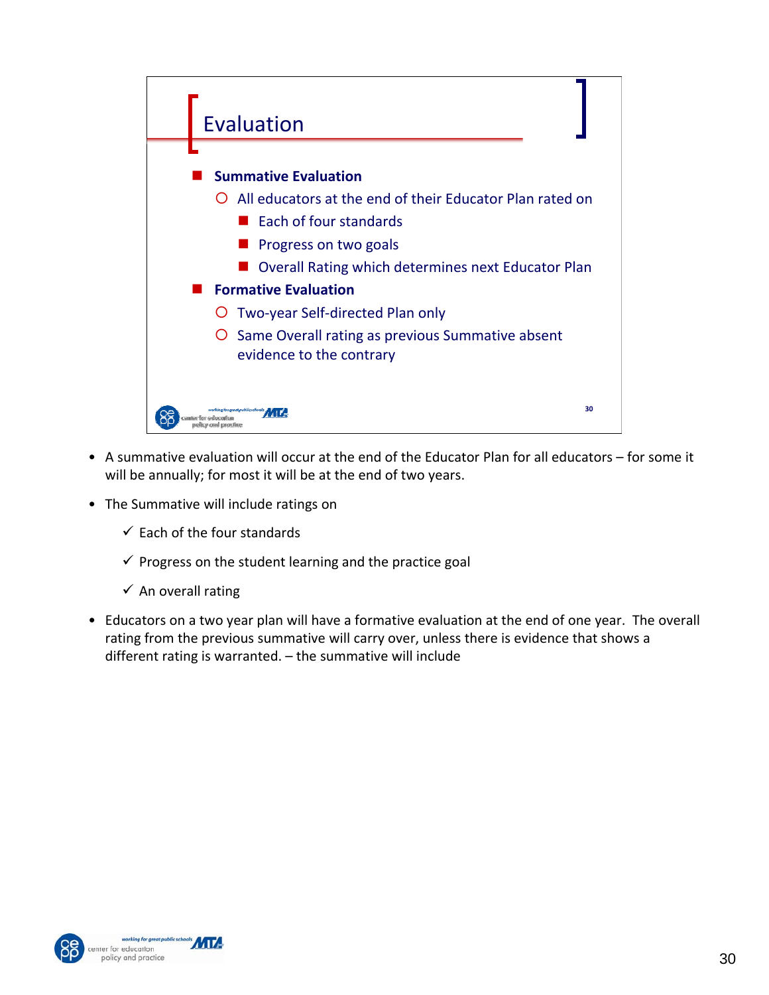

- A summative evaluation will occur at the end of the Educator Plan for all educators for some it will be annually; for most it will be at the end of two years.
- The Summative will include ratings on
	- $\checkmark$  Each of the four standards
	- $\checkmark$  Progress on the student learning and the practice goal
	- $\checkmark$  An overall rating
- Educators on a two year plan will have a formative evaluation at the end of one year. The overall rating from the previous summative will carry over, unless there is evidence that shows a different rating is warranted. – the summative will include



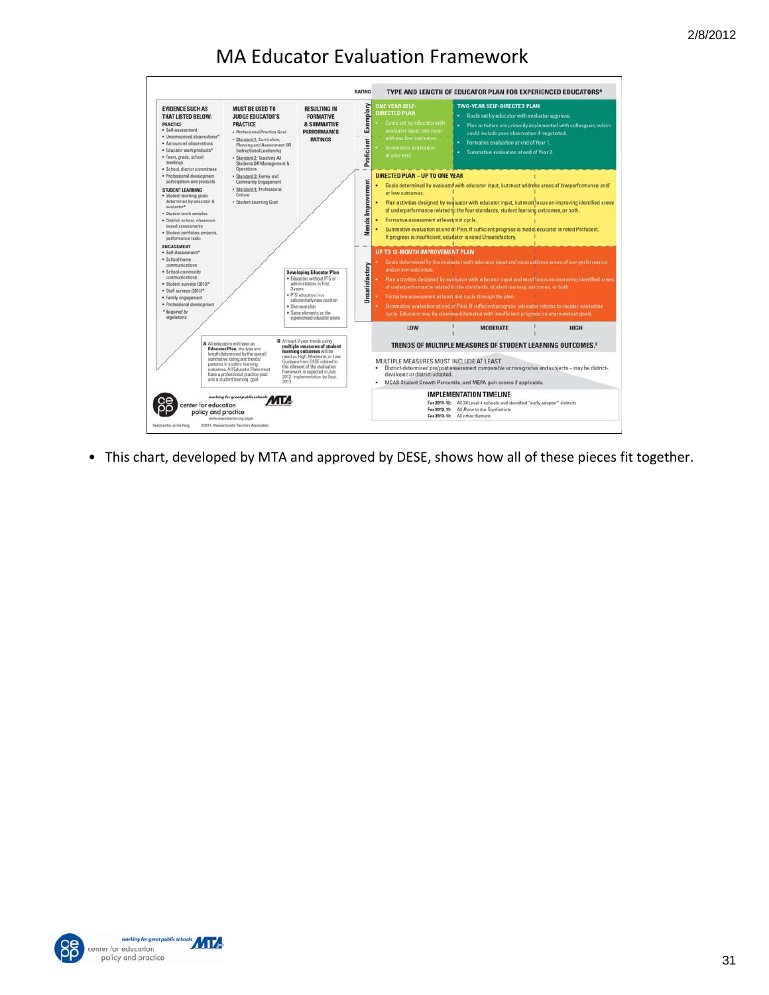

• This chart, developed by MTA and approved by DESE, shows how all of these pieces fit together.



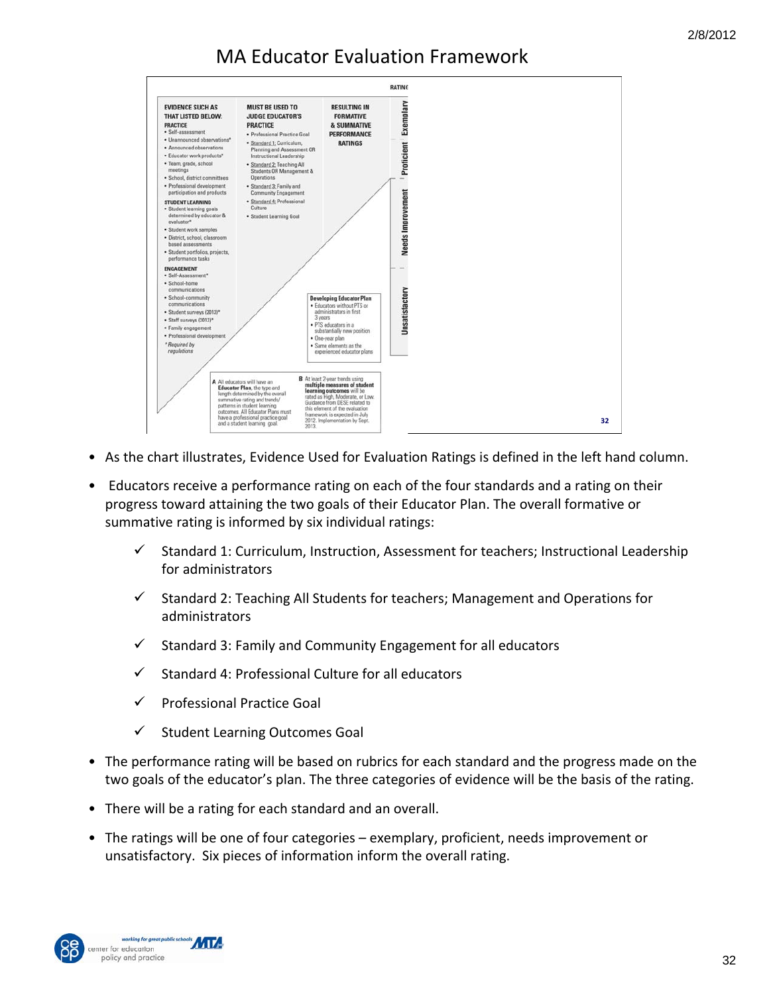

- As the chart illustrates, Evidence Used for Evaluation Ratings is defined in the left hand column.
- Educators receive a performance rating on each of the four standards and a rating on their progress toward attaining the two goals of their Educator Plan. The overall formative or summative rating is informed by six individual ratings:
	- $\checkmark$  Standard 1: Curriculum, Instruction, Assessment for teachers; Instructional Leadership for administrators
	- $\checkmark$  Standard 2: Teaching All Students for teachers; Management and Operations for administrators
	- $\checkmark$  Standard 3: Family and Community Engagement for all educators
	- $\checkmark$  Standard 4: Professional Culture for all educators
	- $\checkmark$  Professional Practice Goal
	- $\checkmark$  Student Learning Outcomes Goal
- The performance rating will be based on rubrics for each standard and the progress made on the two goals of the educator's plan. The three categories of evidence will be the basis of the rating.
- There will be a rating for each standard and an overall.
- The ratings will be one of four categories exemplary, proficient, needs improvement or unsatisfactory. Six pieces of information inform the overall rating.

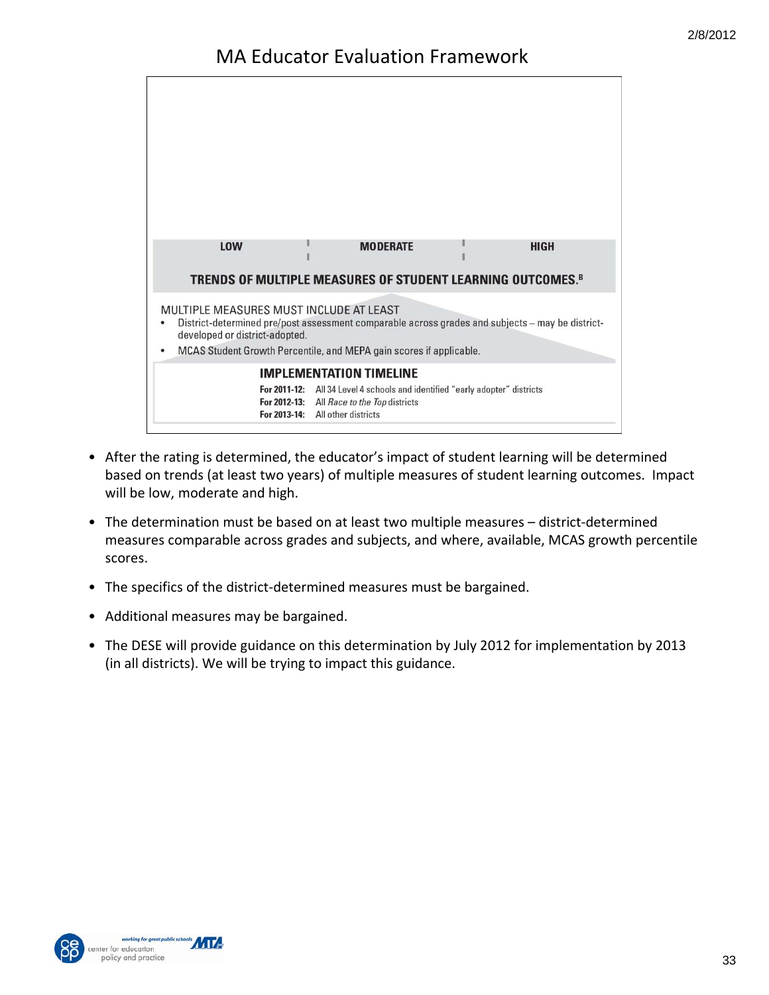

- After the rating is determined, the educator's impact of student learning will be determined based on trends (at least two years) of multiple measures of student learning outcomes. Impact will be low, moderate and high.
- The determination must be based on at least two multiple measures district-determined measures comparable across grades and subjects, and where, available, MCAS growth percentile scores.
- The specifics of the district-determined measures must be bargained.
- Additional measures may be bargained.
- The DESE will provide guidance on this determination by July 2012 for implementation by 2013 (in all districts). We will be trying to impact this guidance.



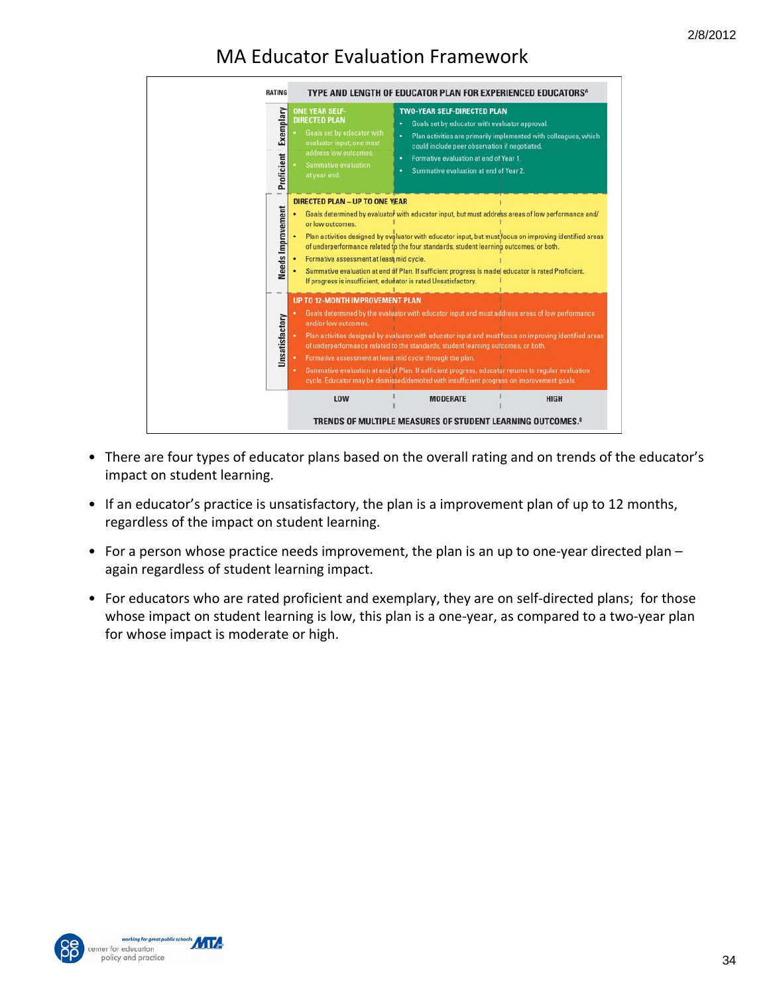

- There are four types of educator plans based on the overall rating and on trends of the educator's impact on student learning.
- If an educator's practice is unsatisfactory, the plan is a improvement plan of up to 12 months, regardless of the impact on student learning.
- For a person whose practice needs improvement, the plan is an up to one-year directed plan again regardless of student learning impact.
- For educators who are rated proficient and exemplary, they are on self-directed plans; for those whose impact on student learning is low, this plan is a one-year, as compared to a two-year plan for whose impact is moderate or high.



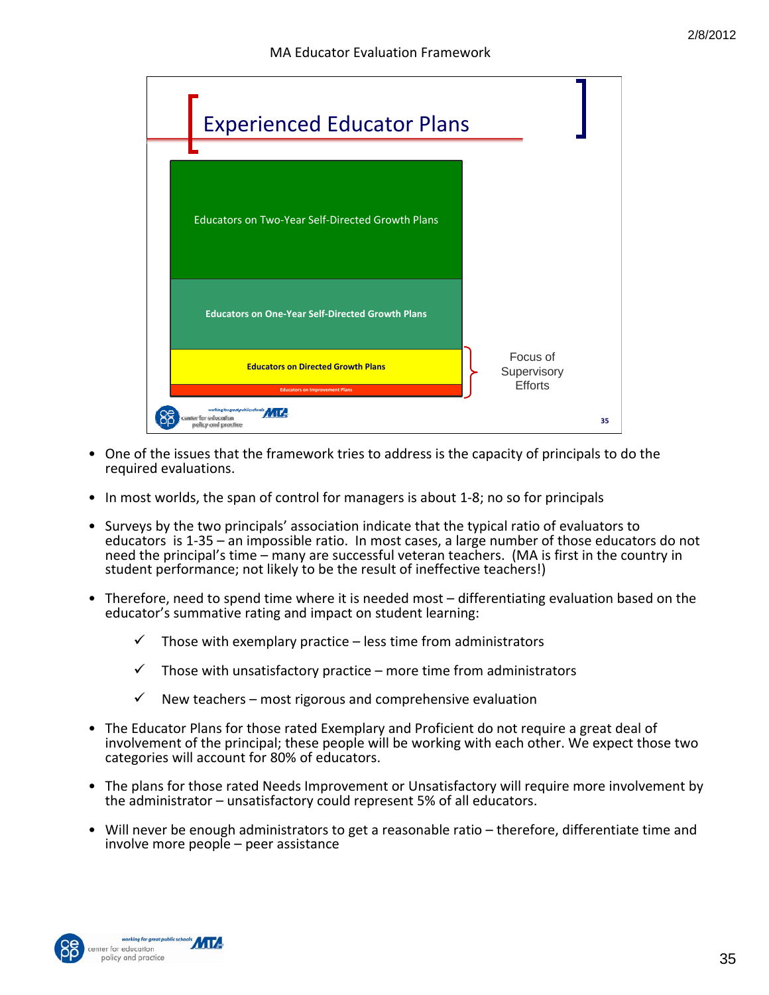

- One of the issues that the framework tries to address is the capacity of principals to do the required evaluations.
- In most worlds, the span of control for managers is about 1-8; no so for principals
- Surveys by the two principals' association indicate that the typical ratio of evaluators to educators is 1‐35 – an impossible ratio. In most cases, a large number of those educators do not need the principal's time – many are successful veteran teachers. (MA is first in the country in student performance; not likely to be the result of ineffective teachers!)
- Therefore, need to spend time where it is needed most differentiating evaluation based on the educator's summative rating and impact on student learning:
	- $\checkmark$  Those with exemplary practice less time from administrators
	- $\checkmark$  Those with unsatisfactory practice more time from administrators
	- $\checkmark$  New teachers most rigorous and comprehensive evaluation
- The Educator Plans for those rated Exemplary and Proficient do not require a great deal of involvement of the principal; these people will be working with each other. We expect those two categories will account for 80% of educators.
- The plans for those rated Needs Improvement or Unsatisfactory will require more involvement by the administrator – unsatisfactory could represent 5% of all educators.
- Will never be enough administrators to get a reasonable ratio therefore, differentiate time and involve more people – peer assistance

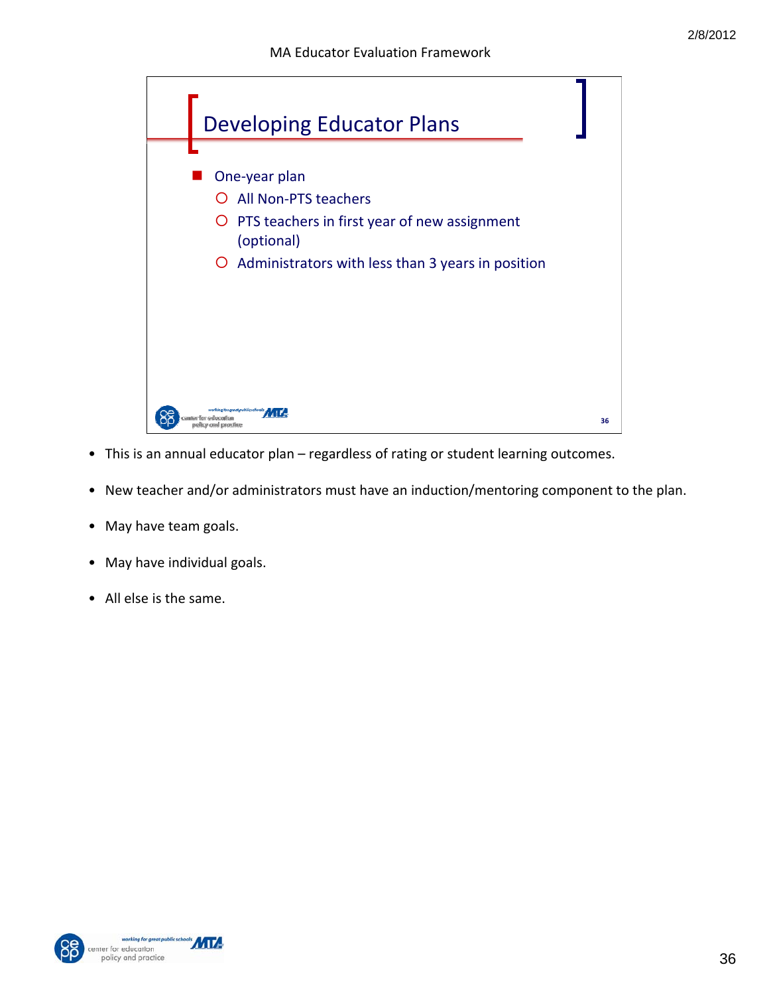

- This is an annual educator plan regardless of rating or student learning outcomes.
- New teacher and/or administrators must have an induction/mentoring component to the plan.
- May have team goals.
- May have individual goals.
- All else is the same.



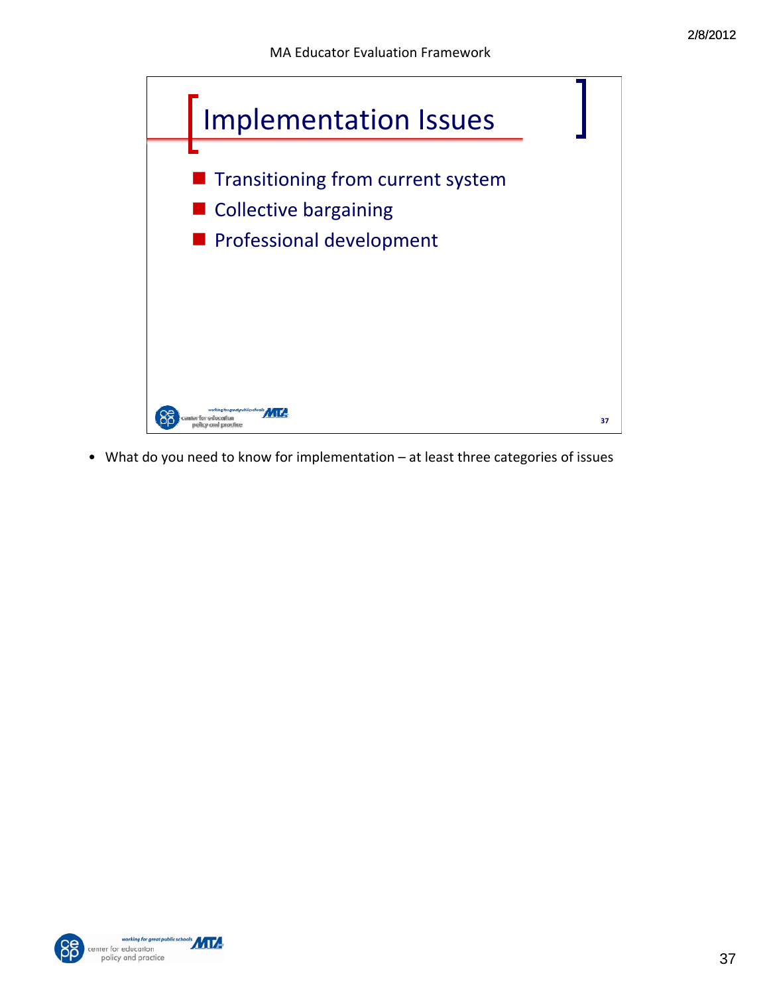

• What do you need to know for implementation – at least three categories of issues



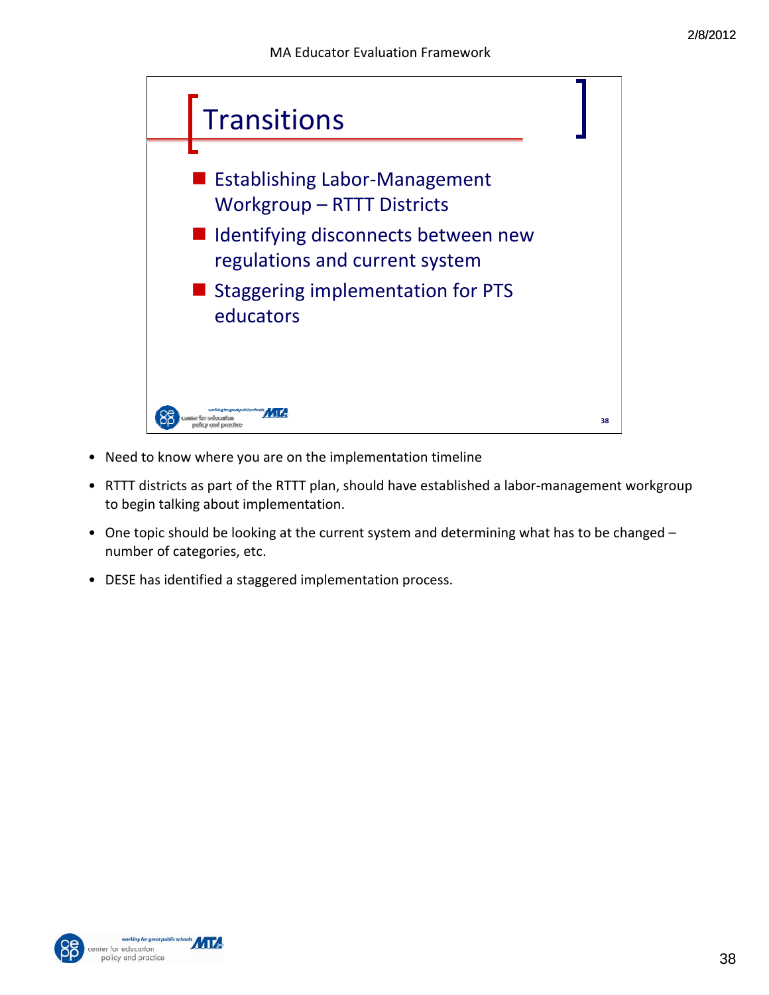

- Need to know where you are on the implementation timeline
- RTTT districts as part of the RTTT plan, should have established a labor-management workgroup to begin talking about implementation.
- One topic should be looking at the current system and determining what has to be changed number of categories, etc.
- DESE has identified a staggered implementation process.



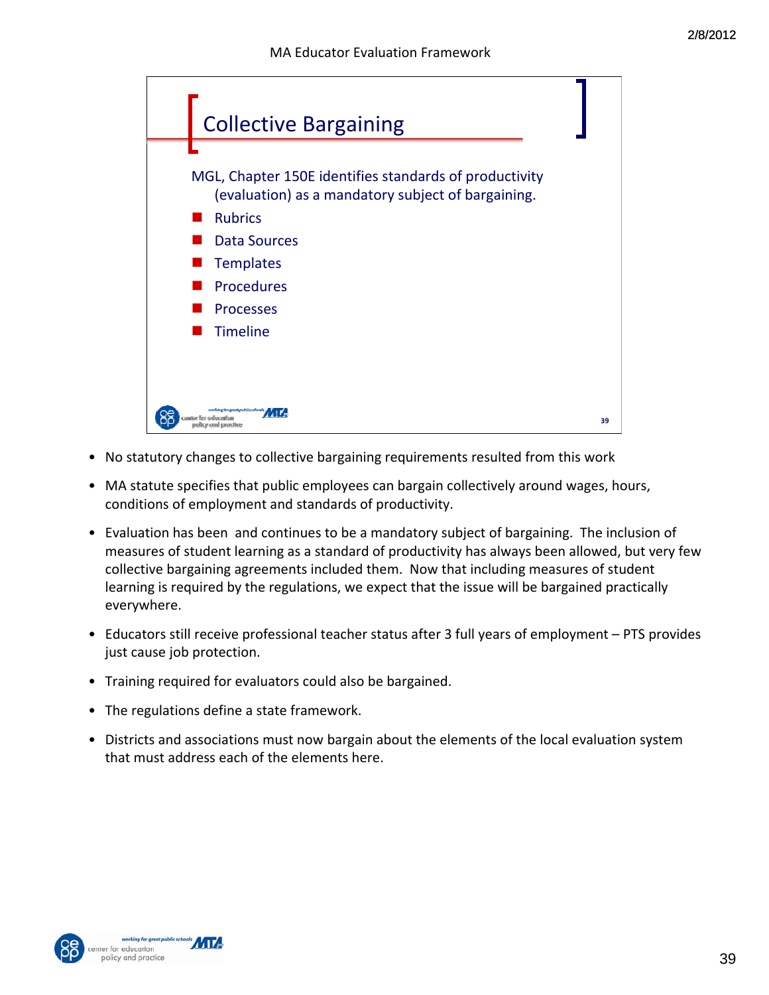

- No statutory changes to collective bargaining requirements resulted from this work
- MA statute specifies that public employees can bargain collectively around wages, hours, conditions of employment and standards of productivity.
- Evaluation has been and continues to be a mandatory subject of bargaining. The inclusion of measures of student learning as a standard of productivity has always been allowed, but very few collective bargaining agreements included them. Now that including measures of student learning is required by the regulations, we expect that the issue will be bargained practically everywhere.
- Educators still receive professional teacher status after 3 full years of employment PTS provides just cause job protection.
- Training required for evaluators could also be bargained.
- The regulations define a state framework.
- Districts and associations must now bargain about the elements of the local evaluation system that must address each of the elements here.



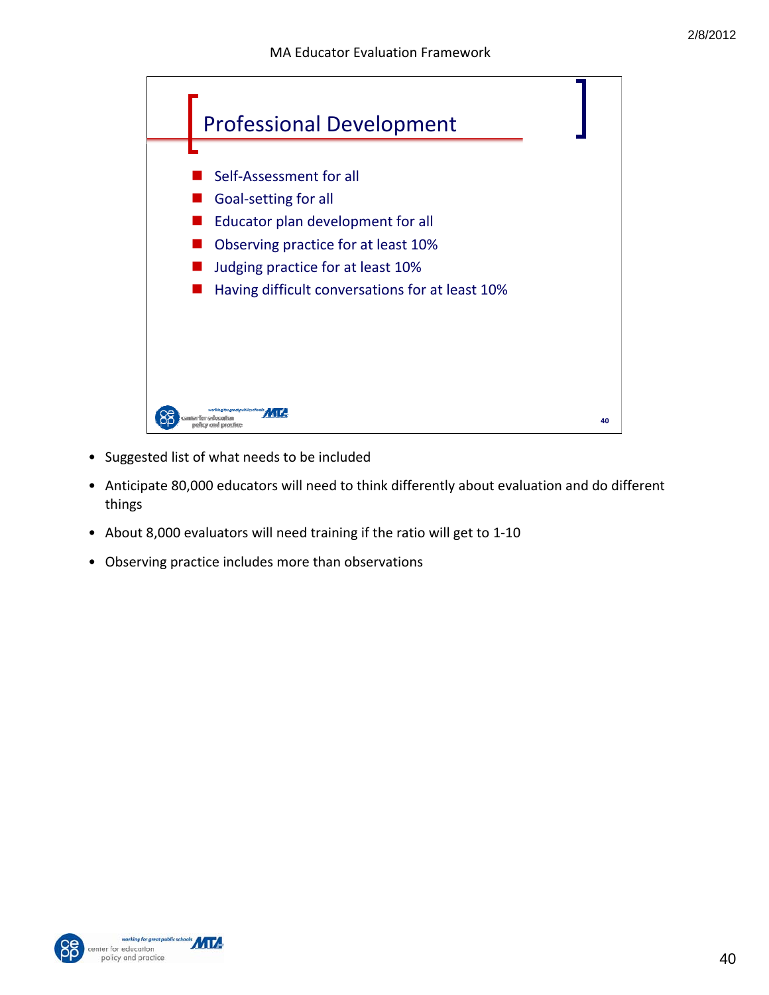

- Suggested list of what needs to be included
- Anticipate 80,000 educators will need to think differently about evaluation and do different things
- About 8,000 evaluators will need training if the ratio will get to 1-10
- Observing practice includes more than observations

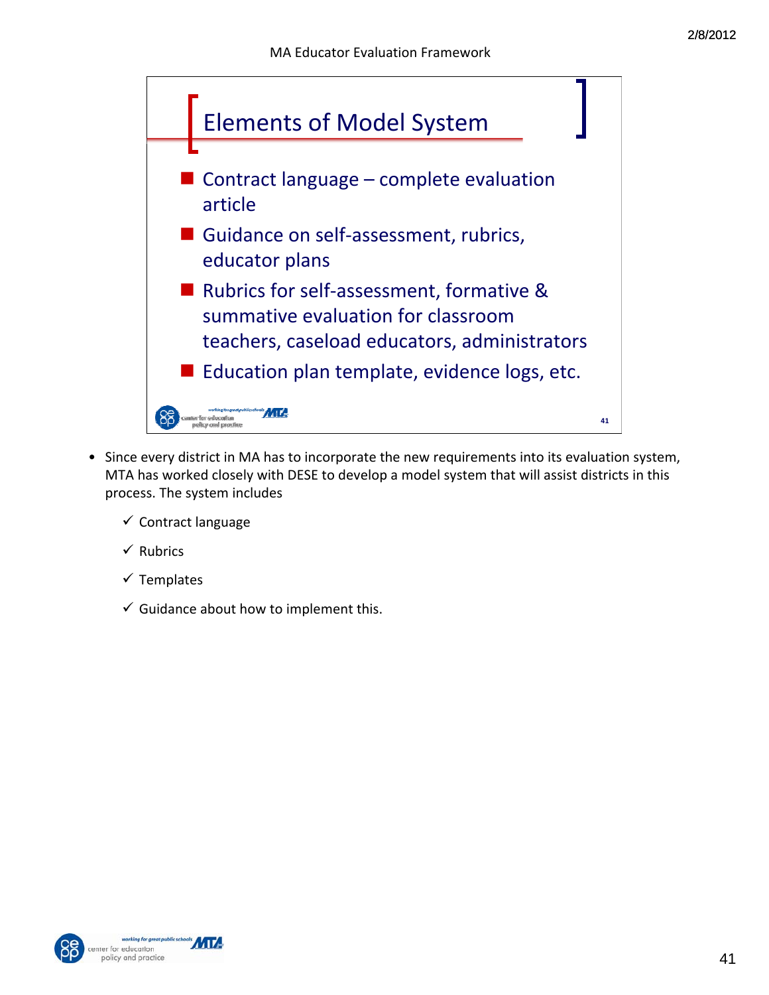

- Since every district in MA has to incorporate the new requirements into its evaluation system, MTA has worked closely with DESE to develop a model system that will assist districts in this process. The system includes
	- $\checkmark$  Contract language
	- $\checkmark$  Rubrics
	- $\checkmark$  Templates
	- $\checkmark$  Guidance about how to implement this.

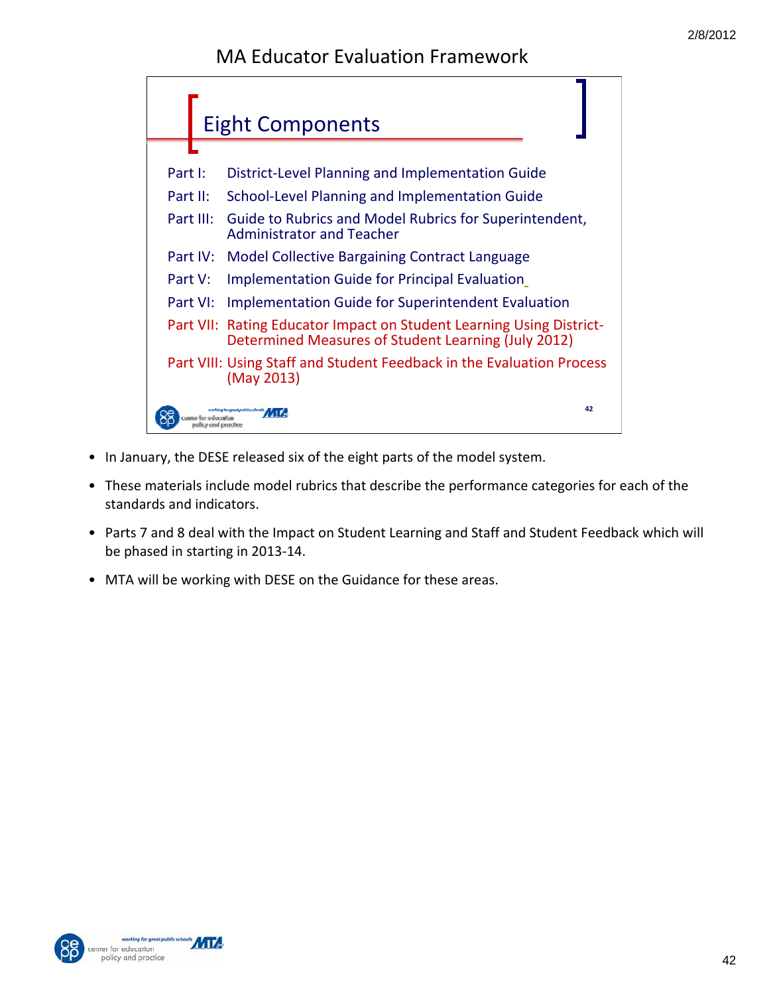

- In January, the DESE released six of the eight parts of the model system.
- These materials include model rubrics that describe the performance categories for each of the standards and indicators.
- Parts 7 and 8 deal with the Impact on Student Learning and Staff and Student Feedback which will be phased in starting in 2013‐14.
- MTA will be working with DESE on the Guidance for these areas.

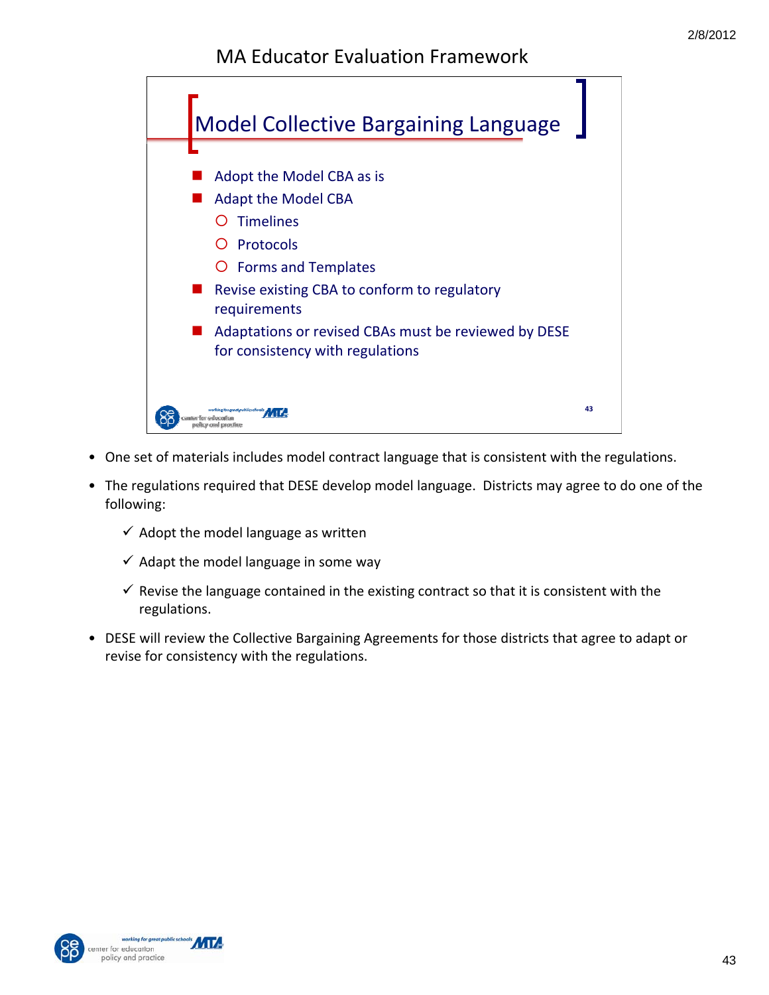

- One set of materials includes model contract language that is consistent with the regulations.
- The regulations required that DESE develop model language. Districts may agree to do one of the following:
	- $\checkmark$  Adopt the model language as written
	- $\checkmark$  Adapt the model language in some way
	- $\checkmark$  Revise the language contained in the existing contract so that it is consistent with the regulations.
- DESE will review the Collective Bargaining Agreements for those districts that agree to adapt or revise for consistency with the regulations.



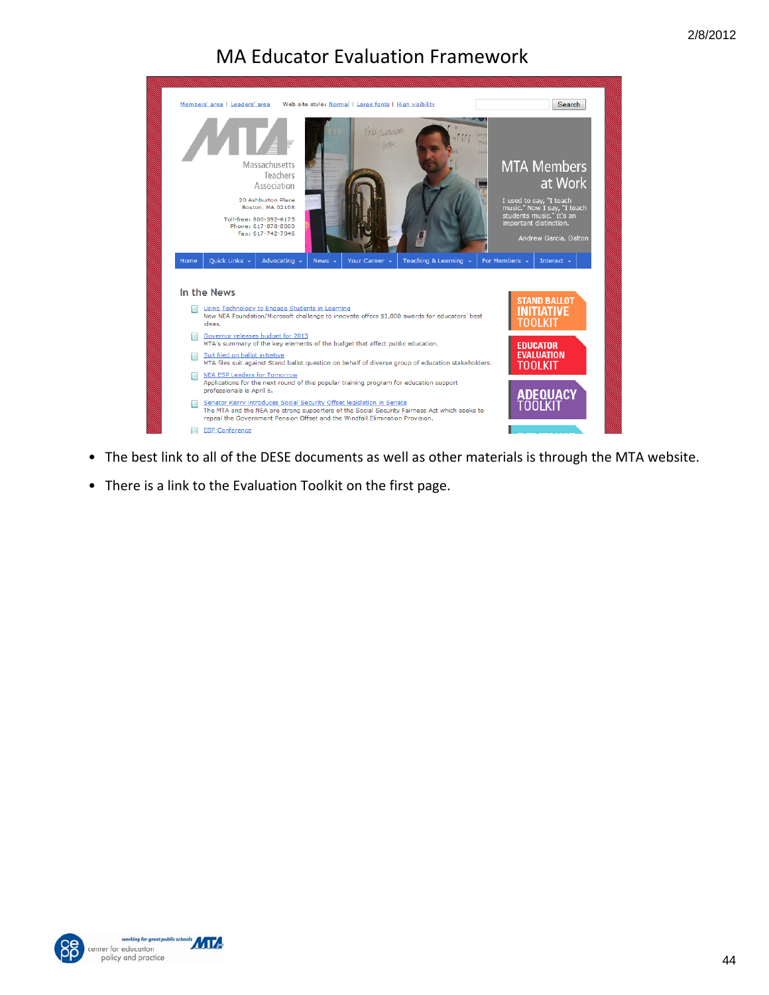

- The best link to all of the DESE documents as well as other materials is through the MTA website.
- There is a link to the Evaluation Toolkit on the first page.



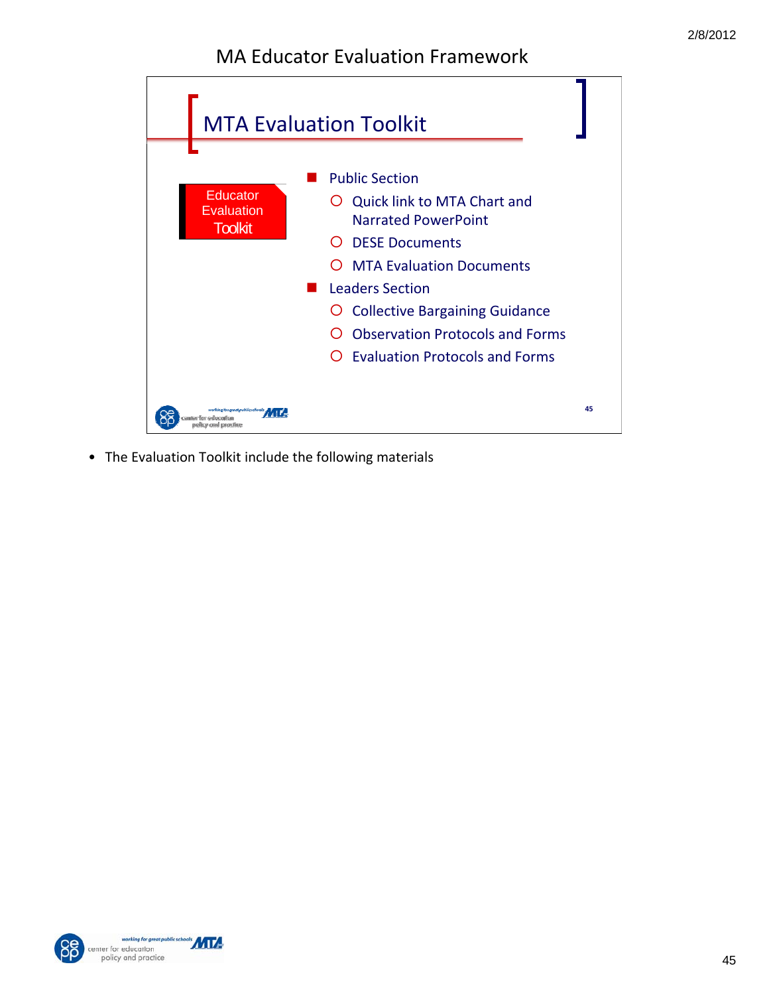

• The Evaluation Toolkit include the following materials